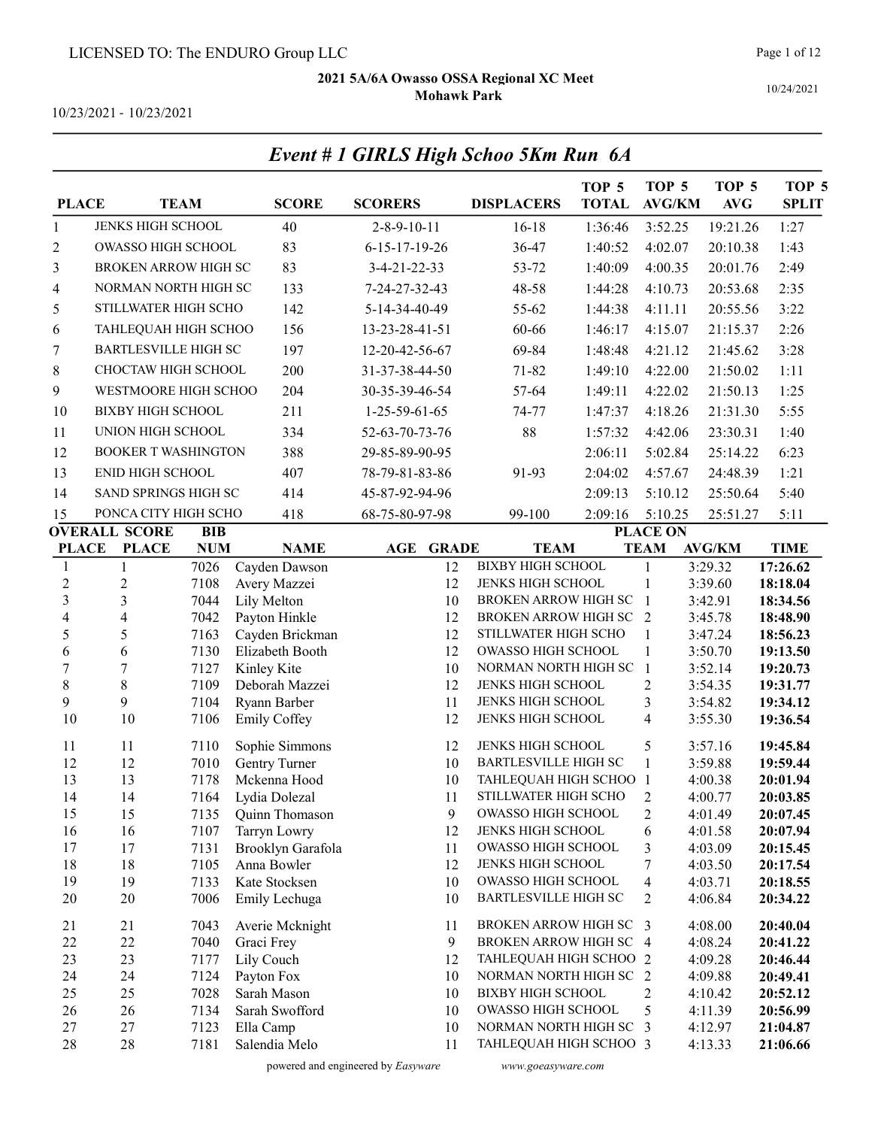Event # 1 GIRLS High Schoo 5Km Run 6A

Page 1 of 12

10/24/2021

10/23/2021 - 10/23/2021

| <b>PLACE</b>             | <b>TEAM</b>                 |              | <b>SCORE</b>                         | <b>SCORERS</b>             | <b>DISPLACERS</b>                                 | TOP <sub>5</sub><br><b>TOTAL</b> | TOP <sub>5</sub><br><b>AVG/KM</b> | TOP <sub>5</sub><br>$\mathbf{AVG}$ | TOP <sub>5</sub><br><b>SPLIT</b> |
|--------------------------|-----------------------------|--------------|--------------------------------------|----------------------------|---------------------------------------------------|----------------------------------|-----------------------------------|------------------------------------|----------------------------------|
| 1                        | JENKS HIGH SCHOOL           |              | 40                                   | $2 - 8 - 9 - 10 - 11$      | $16-18$                                           | 1:36:46                          | 3:52.25                           | 19:21.26                           | 1:27                             |
| $\overline{c}$           | OWASSO HIGH SCHOOL          |              | 83                                   | $6 - 15 - 17 - 19 - 26$    | 36-47                                             | 1:40:52                          | 4:02.07                           | 20:10.38                           | 1:43                             |
| 3                        | <b>BROKEN ARROW HIGH SC</b> |              | 83                                   | 3-4-21-22-33               | 53-72                                             | 1:40:09                          | 4:00.35                           | 20:01.76                           | 2:49                             |
| 4                        | NORMAN NORTH HIGH SC        |              | 133                                  | 7-24-27-32-43              | 48-58                                             | 1:44:28                          | 4:10.73                           | 20:53.68                           | 2:35                             |
| 5                        | STILLWATER HIGH SCHO        |              | 142                                  | 5-14-34-40-49              | 55-62                                             | 1:44:38                          | 4:11.11                           | 20:55.56                           | 3:22                             |
| 6                        | TAHLEQUAH HIGH SCHOO        |              | 156                                  | 13-23-28-41-51             | 60-66                                             | 1:46:17                          | 4:15.07                           | 21:15.37                           | 2:26                             |
| 7                        | <b>BARTLESVILLE HIGH SC</b> |              | 197                                  | 12-20-42-56-67             | 69-84                                             | 1:48:48                          | 4:21.12                           | 21:45.62                           | 3:28                             |
| 8                        | CHOCTAW HIGH SCHOOL         |              | 200                                  | 31-37-38-44-50             | 71-82                                             | 1:49:10                          | 4:22.00                           | 21:50.02                           | 1:11                             |
| 9                        | WESTMOORE HIGH SCHOO        |              | 204                                  | 30-35-39-46-54             | 57-64                                             | 1:49:11                          | 4:22.02                           | 21:50.13                           | 1:25                             |
| 10                       | <b>BIXBY HIGH SCHOOL</b>    |              | 211                                  | $1-25-59-61-65$            | 74-77                                             | 1:47:37                          | 4:18.26                           | 21:31.30                           | 5:55                             |
| 11                       | UNION HIGH SCHOOL           |              | 334                                  | 52-63-70-73-76             | 88                                                | 1:57:32                          | 4:42.06                           | 23:30.31                           | 1:40                             |
| 12                       | <b>BOOKER T WASHINGTON</b>  |              | 388                                  | 29-85-89-90-95             |                                                   | 2:06:11                          | 5:02.84                           | 25:14.22                           | 6:23                             |
| 13                       | <b>ENID HIGH SCHOOL</b>     |              | 407                                  | 78-79-81-83-86             | 91-93                                             | 2:04:02                          | 4:57.67                           | 24:48.39                           | 1:21                             |
| 14                       | SAND SPRINGS HIGH SC        |              | 414                                  | 45-87-92-94-96             |                                                   | 2:09:13                          | 5:10.12                           | 25:50.64                           | 5:40                             |
|                          | PONCA CITY HIGH SCHO        |              | 418                                  | 68-75-80-97-98             | 99-100                                            |                                  | 5:10.25                           | 25:51.27                           | 5:11                             |
| 15                       | <b>OVERALL SCORE</b>        | <b>BIB</b>   |                                      |                            |                                                   | 2:09:16                          | <b>PLACE ON</b>                   |                                    |                                  |
| <b>PLACE</b>             | <b>PLACE</b>                | <b>NUM</b>   | <b>NAME</b>                          | <b>AGE</b><br><b>GRADE</b> | <b>TEAM</b>                                       |                                  | <b>TEAM</b>                       | <b>AVG/KM</b>                      | <b>TIME</b>                      |
| 1                        | $\mathbf{1}$                | 7026         | Cayden Dawson                        | 12                         | <b>BIXBY HIGH SCHOOL</b>                          |                                  | 1                                 | 3:29.32                            | 17:26.62                         |
| $\mathbf{2}$             | $\overline{c}$              | 7108         | Avery Mazzei                         | 12                         | JENKS HIGH SCHOOL                                 |                                  | $\mathbf{1}$                      | 3:39.60                            | 18:18.04                         |
| $\overline{3}$           | 3                           | 7044         | Lily Melton                          | 10                         | <b>BROKEN ARROW HIGH SC</b>                       |                                  | $\mathbf{1}$                      | 3:42.91                            | 18:34.56                         |
| $\overline{\mathcal{L}}$ | $\overline{\mathbf{4}}$     | 7042         | Payton Hinkle                        | 12                         | BROKEN ARROW HIGH SC                              |                                  | 2                                 | 3:45.78                            | 18:48.90                         |
| 5<br>6                   | 5<br>6                      | 7163<br>7130 | Cayden Brickman<br>Elizabeth Booth   | 12<br>12                   | STILLWATER HIGH SCHO<br>OWASSO HIGH SCHOOL        |                                  | 1<br>1                            | 3:47.24<br>3:50.70                 | 18:56.23<br>19:13.50             |
| $\boldsymbol{7}$         | $\sqrt{ }$                  | 7127         | Kinley Kite                          | 10                         | NORMAN NORTH HIGH SC                              |                                  | $\mathbf{1}$                      | 3:52.14                            | 19:20.73                         |
| $\,$ $\,$                | 8                           | 7109         | Deborah Mazzei                       | 12                         | JENKS HIGH SCHOOL                                 |                                  | $\overline{c}$                    | 3:54.35                            | 19:31.77                         |
| 9                        | 9                           | 7104         | Ryann Barber                         | 11                         | JENKS HIGH SCHOOL                                 |                                  | 3                                 | 3:54.82                            | 19:34.12                         |
| 10                       | 10                          | 7106         | <b>Emily Coffey</b>                  | 12                         | JENKS HIGH SCHOOL                                 |                                  | $\overline{4}$                    | 3:55.30                            | 19:36.54                         |
| 11                       | 11                          | 7110         | Sophie Simmons                       | 12                         | JENKS HIGH SCHOOL                                 |                                  | 5                                 | 3:57.16                            | 19:45.84                         |
| 12                       | 12                          | 7010         | Gentry Turner                        | 10                         | <b>BARTLESVILLE HIGH SC</b>                       |                                  | 1                                 | 3:59.88                            | 19:59.44                         |
| 13                       | 13                          | 7178         | Mckenna Hood                         | 10                         | TAHLEQUAH HIGH SCHOO 1                            |                                  |                                   | 4:00.38                            | 20:01.94                         |
| 14<br>15                 | 14<br>15                    | 7164         | Lydia Dolezal<br>7135 Quinn Thomason | 11<br>$\overline{9}$       | STILLWATER HIGH SCHO<br><b>OWASSO HIGH SCHOOL</b> |                                  | 2<br>$\overline{2}$               | 4:00.77<br>4:01.49                 | 20:03.85<br>20:07.45             |
| 16                       | 16                          | 7107         | Tarryn Lowry                         | 12                         | JENKS HIGH SCHOOL                                 |                                  | 6                                 | 4:01.58                            | 20:07.94                         |
| 17                       | 17                          | 7131         | Brooklyn Garafola                    | 11                         | OWASSO HIGH SCHOOL                                |                                  | 3                                 | 4:03.09                            | 20:15.45                         |
| 18                       | 18                          | 7105         | Anna Bowler                          | 12                         | JENKS HIGH SCHOOL                                 |                                  | 7                                 | 4:03.50                            | 20:17.54                         |
| 19                       | 19                          | 7133         | Kate Stocksen                        | 10                         | OWASSO HIGH SCHOOL                                |                                  | $\overline{4}$                    | 4:03.71                            | 20:18.55                         |
| 20                       | 20                          | 7006         | Emily Lechuga                        | 10                         | <b>BARTLESVILLE HIGH SC</b>                       |                                  | 2                                 | 4:06.84                            | 20:34.22                         |
| 21                       | 21                          | 7043         | Averie Mcknight                      | 11                         | BROKEN ARROW HIGH SC 3                            |                                  |                                   | 4:08.00                            | 20:40.04                         |
| 22                       | 22                          | 7040         | Graci Frey                           | 9                          | BROKEN ARROW HIGH SC 4                            |                                  |                                   | 4:08.24                            | 20:41.22                         |
| 23                       | 23                          | 7177         | Lily Couch                           | 12                         | TAHLEQUAH HIGH SCHOO 2                            |                                  |                                   | 4:09.28                            | 20:46.44                         |
| 24                       | 24                          | 7124         | Payton Fox                           | 10                         | NORMAN NORTH HIGH SC 2                            |                                  |                                   | 4:09.88                            | 20:49.41                         |
| 25<br>26                 | 25<br>26                    | 7028<br>7134 | Sarah Mason<br>Sarah Swofford        | 10<br>10                   | <b>BIXBY HIGH SCHOOL</b><br>OWASSO HIGH SCHOOL    |                                  | 2<br>5                            | 4:10.42<br>4:11.39                 | 20:52.12<br>20:56.99             |
| 27                       | 27                          | 7123         | Ella Camp                            | 10                         | NORMAN NORTH HIGH SC 3                            |                                  |                                   | 4:12.97                            | 21:04.87                         |
| 28                       | $28\,$                      | 7181         | Salendia Melo                        | 11                         | TAHLEQUAH HIGH SCHOO 3                            |                                  |                                   | 4:13.33                            | 21:06.66                         |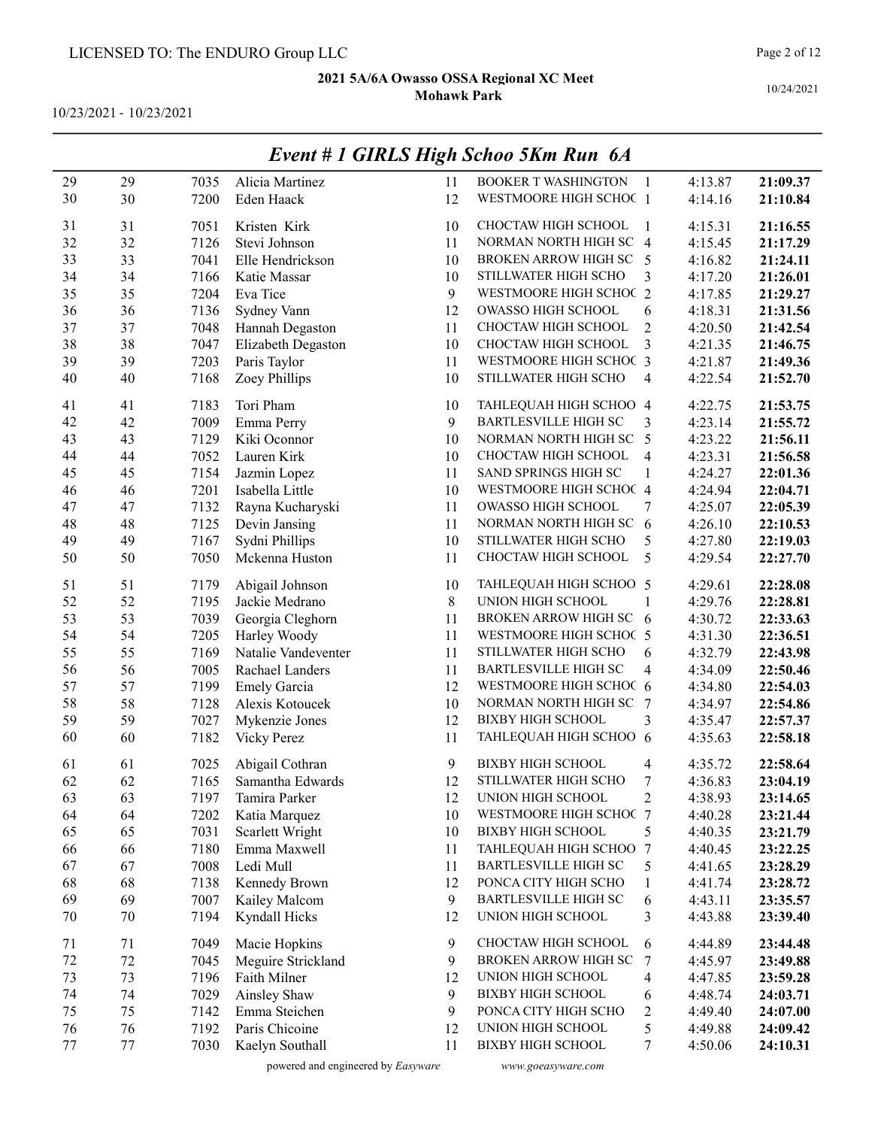10/23/2021 - 10/23/2021

|        |    |      |                     |    | EVENI # 1 UINLS FIIGN SCHOO JAM KUN 0A |                         |         |          |
|--------|----|------|---------------------|----|----------------------------------------|-------------------------|---------|----------|
| 29     | 29 | 7035 | Alicia Martinez     | 11 | <b>BOOKER T WASHINGTON</b>             | $\overline{1}$          | 4:13.87 | 21:09.37 |
| 30     | 30 | 7200 | Eden Haack          | 12 | WESTMOORE HIGH SCHOC 1                 |                         | 4:14.16 | 21:10.84 |
|        |    |      |                     |    |                                        |                         |         |          |
| 31     | 31 | 7051 | Kristen Kirk        | 10 | CHOCTAW HIGH SCHOOL                    | 1                       | 4:15.31 | 21:16.55 |
| 32     | 32 | 7126 | Stevi Johnson       | 11 | NORMAN NORTH HIGH SC 4                 |                         | 4:15.45 | 21:17.29 |
| 33     | 33 | 7041 | Elle Hendrickson    | 10 | BROKEN ARROW HIGH SC                   | 5                       | 4:16.82 | 21:24.11 |
| 34     | 34 | 7166 | Katie Massar        | 10 | STILLWATER HIGH SCHO                   | 3                       | 4:17.20 | 21:26.01 |
| 35     | 35 | 7204 | Eva Tice            | 9  | WESTMOORE HIGH SCHOC 2                 |                         | 4:17.85 | 21:29.27 |
| 36     | 36 | 7136 | Sydney Vann         | 12 | OWASSO HIGH SCHOOL                     | 6                       | 4:18.31 | 21:31.56 |
| 37     | 37 | 7048 | Hannah Degaston     | 11 | CHOCTAW HIGH SCHOOL                    | $\overline{c}$          | 4:20.50 | 21:42.54 |
| 38     | 38 | 7047 | Elizabeth Degaston  | 10 | CHOCTAW HIGH SCHOOL                    | $\overline{\mathbf{3}}$ | 4:21.35 | 21:46.75 |
| 39     | 39 | 7203 | Paris Taylor        | 11 | WESTMOORE HIGH SCHOC 3                 |                         | 4:21.87 | 21:49.36 |
| 40     | 40 | 7168 | Zoey Phillips       | 10 | STILLWATER HIGH SCHO                   | 4                       | 4:22.54 | 21:52.70 |
| 41     | 41 | 7183 | Tori Pham           | 10 | TAHLEQUAH HIGH SCHOO 4                 |                         | 4:22.75 | 21:53.75 |
| 42     | 42 | 7009 | Emma Perry          | 9  | <b>BARTLESVILLE HIGH SC</b>            | 3                       | 4:23.14 | 21:55.72 |
| 43     | 43 | 7129 | Kiki Oconnor        | 10 | NORMAN NORTH HIGH SC                   | 5                       | 4:23.22 | 21:56.11 |
| 44     | 44 | 7052 | Lauren Kirk         | 10 | CHOCTAW HIGH SCHOOL                    | 4                       | 4:23.31 | 21:56.58 |
| 45     | 45 | 7154 | Jazmin Lopez        | 11 | SAND SPRINGS HIGH SC                   | $\mathbf{1}$            | 4:24.27 | 22:01.36 |
| 46     | 46 | 7201 | Isabella Little     | 10 | WESTMOORE HIGH SCHOC 4                 |                         | 4:24.94 | 22:04.71 |
| 47     | 47 | 7132 | Rayna Kucharyski    | 11 | OWASSO HIGH SCHOOL                     | 7                       | 4:25.07 | 22:05.39 |
| 48     | 48 | 7125 | Devin Jansing       | 11 | NORMAN NORTH HIGH SC                   | 6                       | 4:26.10 | 22:10.53 |
| 49     | 49 | 7167 | Sydni Phillips      | 10 | STILLWATER HIGH SCHO                   | 5                       | 4:27.80 | 22:19.03 |
| 50     | 50 | 7050 | Mckenna Huston      | 11 | CHOCTAW HIGH SCHOOL                    | 5                       | 4:29.54 | 22:27.70 |
| 51     | 51 | 7179 | Abigail Johnson     | 10 | TAHLEQUAH HIGH SCHOO 5                 |                         | 4:29.61 | 22:28.08 |
| 52     | 52 | 7195 | Jackie Medrano      | 8  | UNION HIGH SCHOOL                      | 1                       | 4:29.76 | 22:28.81 |
| 53     | 53 | 7039 | Georgia Cleghorn    | 11 | BROKEN ARROW HIGH SC 6                 |                         | 4:30.72 | 22:33.63 |
| 54     | 54 | 7205 | Harley Woody        | 11 | WESTMOORE HIGH SCHOC 5                 |                         | 4:31.30 | 22:36.51 |
| 55     | 55 | 7169 | Natalie Vandeventer | 11 | STILLWATER HIGH SCHO                   | 6                       | 4:32.79 | 22:43.98 |
| 56     | 56 | 7005 | Rachael Landers     | 11 | <b>BARTLESVILLE HIGH SC</b>            | 4                       | 4:34.09 | 22:50.46 |
| 57     | 57 | 7199 | <b>Emely Garcia</b> | 12 | WESTMOORE HIGH SCHOC 6                 |                         | 4:34.80 | 22:54.03 |
| 58     | 58 | 7128 | Alexis Kotoucek     | 10 | NORMAN NORTH HIGH SC                   | 7                       | 4:34.97 | 22:54.86 |
| 59     | 59 | 7027 | Mykenzie Jones      | 12 | <b>BIXBY HIGH SCHOOL</b>               | 3                       | 4:35.47 | 22:57.37 |
| 60     | 60 | 7182 | <b>Vicky Perez</b>  | 11 | TAHLEQUAH HIGH SCHOO 6                 |                         | 4:35.63 | 22:58.18 |
| 61     | 61 | 7025 | Abigail Cothran     | 9  | <b>BIXBY HIGH SCHOOL</b>               | 4                       | 4:35.72 | 22:58.64 |
| 62     | 62 | 7165 | Samantha Edwards    | 12 | STILLWATER HIGH SCHO                   | 7                       | 4:36.83 | 23:04.19 |
| 63     | 63 | 7197 | Tamira Parker       | 12 | UNION HIGH SCHOOL                      | 2                       | 4:38.93 | 23:14.65 |
| 64     | 64 | 7202 | Katia Marquez       | 10 | WESTMOORE HIGH SCHOC 7                 |                         | 4:40.28 | 23:21.44 |
| 65     | 65 | 7031 | Scarlett Wright     | 10 | <b>BIXBY HIGH SCHOOL</b>               | 5                       | 4:40.35 | 23:21.79 |
| 66     | 66 | 7180 | Emma Maxwell        | 11 | TAHLEQUAH HIGH SCHOO                   | 7                       | 4:40.45 | 23:22.25 |
| 67     | 67 | 7008 | Ledi Mull           | 11 | <b>BARTLESVILLE HIGH SC</b>            | 5                       | 4:41.65 | 23:28.29 |
| 68     | 68 | 7138 | Kennedy Brown       | 12 | PONCA CITY HIGH SCHO                   | $\mathbf{1}$            | 4:41.74 | 23:28.72 |
| 69     | 69 | 7007 | Kailey Malcom       | 9  | <b>BARTLESVILLE HIGH SC</b>            | 6                       | 4:43.11 | 23:35.57 |
| $70\,$ | 70 | 7194 | Kyndall Hicks       | 12 | UNION HIGH SCHOOL                      | 3                       | 4:43.88 | 23:39.40 |
| 71     | 71 | 7049 | Macie Hopkins       | 9  | CHOCTAW HIGH SCHOOL                    | 6                       | 4:44.89 | 23:44.48 |
| 72     | 72 | 7045 | Meguire Strickland  | 9  | <b>BROKEN ARROW HIGH SC</b>            | 7                       | 4:45.97 | 23:49.88 |
| 73     | 73 | 7196 | Faith Milner        | 12 | UNION HIGH SCHOOL                      | 4                       | 4:47.85 | 23:59.28 |
| 74     | 74 | 7029 | Ainsley Shaw        | 9  | <b>BIXBY HIGH SCHOOL</b>               | 6                       | 4:48.74 | 24:03.71 |
| 75     | 75 | 7142 | Emma Steichen       | 9  | PONCA CITY HIGH SCHO                   | $\overline{c}$          | 4:49.40 | 24:07.00 |
| 76     | 76 | 7192 | Paris Chicoine      | 12 | UNION HIGH SCHOOL                      | 5                       | 4:49.88 | 24:09.42 |
| 77     | 77 | 7030 | Kaelyn Southall     | 11 | <b>BIXBY HIGH SCHOOL</b>               | 7                       | 4:50.06 | 24:10.31 |
|        |    |      |                     |    |                                        |                         |         |          |

## Event # 1 GIRLS High Schoo 5Km Run 6A

powered and engineered by Easyware www.goeasyware.com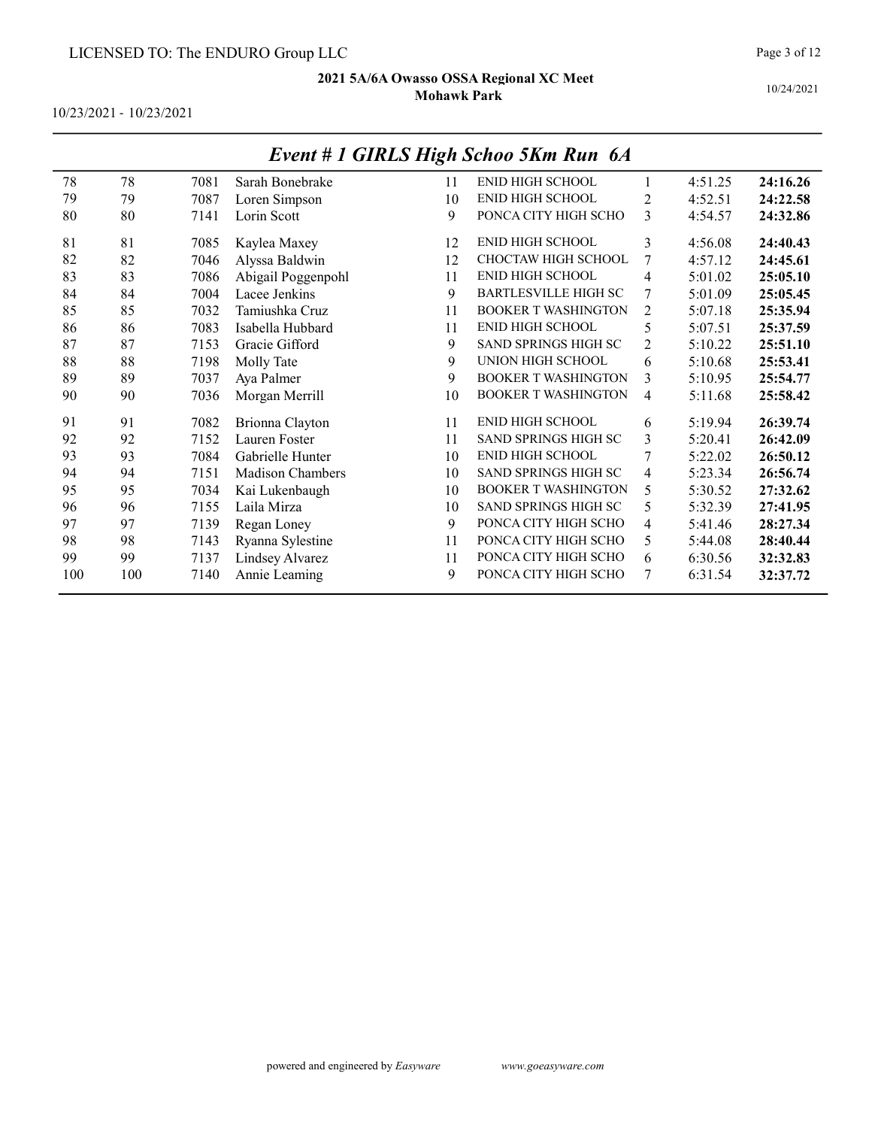10/23/2021 - 10/23/2021

|     |     |      |                         |    | $\cdots$ $\cdots$ $\cdots$ $\cdots$ $\cdots$ |                |         |          |
|-----|-----|------|-------------------------|----|----------------------------------------------|----------------|---------|----------|
| 78  | 78  | 7081 | Sarah Bonebrake         | 11 | ENID HIGH SCHOOL                             |                | 4:51.25 | 24:16.26 |
| 79  | 79  | 7087 | Loren Simpson           | 10 | <b>ENID HIGH SCHOOL</b>                      | 2              | 4:52.51 | 24:22.58 |
| 80  | 80  | 7141 | Lorin Scott             | 9  | PONCA CITY HIGH SCHO                         | 3              | 4:54.57 | 24:32.86 |
| 81  | 81  | 7085 |                         | 12 | <b>ENID HIGH SCHOOL</b>                      | 3              | 4:56.08 | 24:40.43 |
|     |     |      | Kaylea Maxey            |    | CHOCTAW HIGH SCHOOL                          |                |         |          |
| 82  | 82  | 7046 | Alyssa Baldwin          | 12 |                                              | 7              | 4:57.12 | 24:45.61 |
| 83  | 83  | 7086 | Abigail Poggenpohl      | 11 | <b>ENID HIGH SCHOOL</b>                      | 4              | 5:01.02 | 25:05.10 |
| 84  | 84  | 7004 | Lacee Jenkins           | 9  | BARTLESVILLE HIGH SC                         | 7              | 5:01.09 | 25:05.45 |
| 85  | 85  | 7032 | Tamiushka Cruz          | 11 | <b>BOOKER T WASHINGTON</b>                   | 2              | 5:07.18 | 25:35.94 |
| 86  | 86  | 7083 | Isabella Hubbard        | 11 | <b>ENID HIGH SCHOOL</b>                      | 5              | 5:07.51 | 25:37.59 |
| 87  | 87  | 7153 | Gracie Gifford          | 9  | <b>SAND SPRINGS HIGH SC</b>                  | $\overline{c}$ | 5:10.22 | 25:51.10 |
| 88  | 88  | 7198 | Molly Tate              | 9  | UNION HIGH SCHOOL                            | 6              | 5:10.68 | 25:53.41 |
| 89  | 89  | 7037 | Aya Palmer              | 9  | <b>BOOKER T WASHINGTON</b>                   | 3              | 5:10.95 | 25:54.77 |
| 90  | 90  | 7036 | Morgan Merrill          | 10 | <b>BOOKER T WASHINGTON</b>                   | 4              | 5:11.68 | 25:58.42 |
| 91  | 91  | 7082 | Brionna Clayton         | 11 | <b>ENID HIGH SCHOOL</b>                      | 6              | 5:19.94 | 26:39.74 |
| 92  | 92  | 7152 | Lauren Foster           | 11 | <b>SAND SPRINGS HIGH SC</b>                  | 3              | 5:20.41 | 26:42.09 |
| 93  | 93  | 7084 | Gabrielle Hunter        | 10 | <b>ENID HIGH SCHOOL</b>                      |                | 5:22.02 | 26:50.12 |
| 94  | 94  | 7151 | <b>Madison Chambers</b> | 10 | SAND SPRINGS HIGH SC                         | 4              | 5:23.34 | 26:56.74 |
| 95  | 95  | 7034 | Kai Lukenbaugh          | 10 | <b>BOOKER T WASHINGTON</b>                   | 5              | 5:30.52 | 27:32.62 |
| 96  | 96  | 7155 | Laila Mirza             | 10 | <b>SAND SPRINGS HIGH SC</b>                  | 5              | 5:32.39 | 27:41.95 |
| 97  | 97  | 7139 | Regan Loney             | 9  | PONCA CITY HIGH SCHO                         | 4              | 5:41.46 | 28:27.34 |
| 98  | 98  | 7143 | Ryanna Sylestine        | 11 | PONCA CITY HIGH SCHO                         | 5              | 5:44.08 | 28:40.44 |
| 99  | 99  | 7137 | Lindsey Alvarez         | 11 | PONCA CITY HIGH SCHO                         | 6              | 6:30.56 | 32:32.83 |
| 100 | 100 | 7140 | Annie Leaming           | 9  | PONCA CITY HIGH SCHO                         | 7              | 6:31.54 | 32:37.72 |
|     |     |      |                         |    |                                              |                |         |          |

## Event # 1 GIRLS High Schoo 5Km Run 6A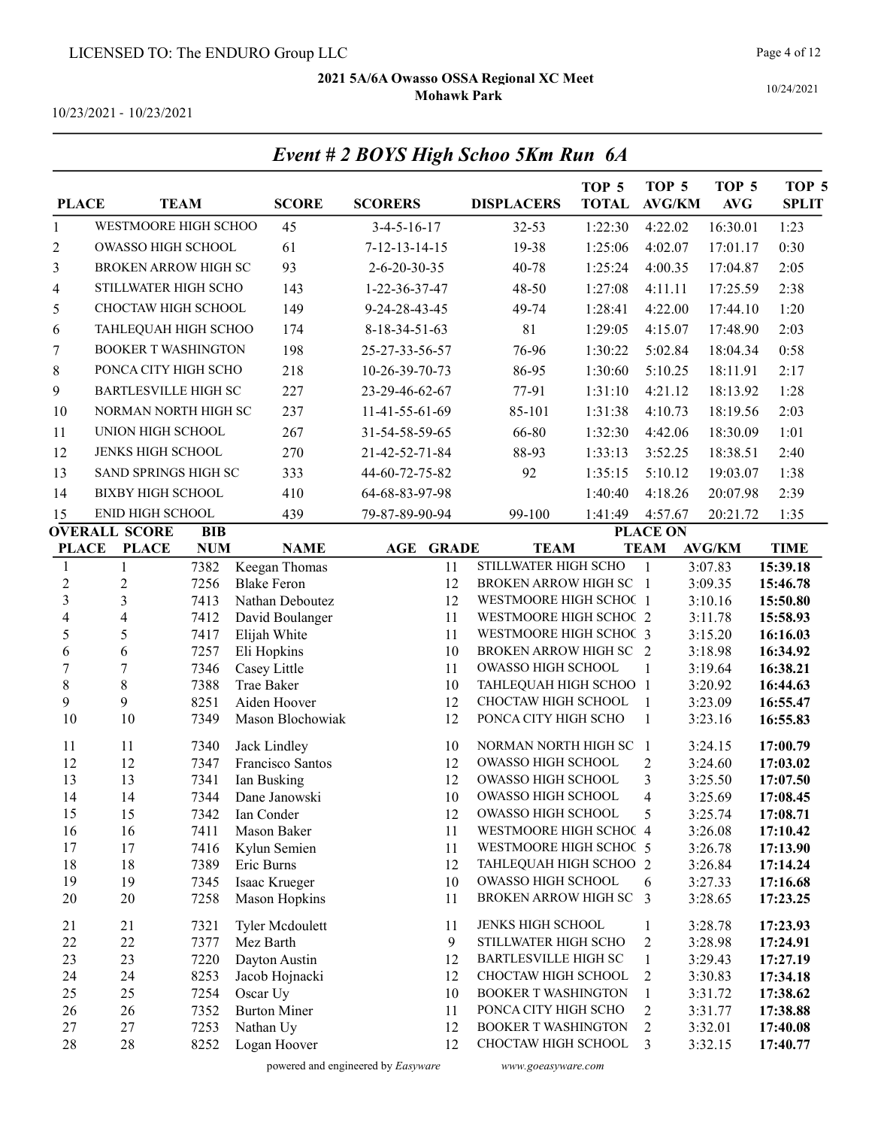Event # 2 BOYS High Schoo 5Km Run 6A

Page 4 of 12

10/24/2021

10/23/2021 - 10/23/2021

| <b>PLACE</b>                                                                     |                             | <b>TEAM</b>  | <b>SCORE</b>                     | <b>SCORERS</b>          | <b>DISPLACERS</b>                                  | TOP 5<br><b>TOTAL</b>          | TOP <sub>5</sub><br><b>AVG/KM</b> | TOP <sub>5</sub><br><b>AVG</b> | TOP <sub>5</sub><br><b>SPLIT</b> |
|----------------------------------------------------------------------------------|-----------------------------|--------------|----------------------------------|-------------------------|----------------------------------------------------|--------------------------------|-----------------------------------|--------------------------------|----------------------------------|
| $\mathbf{1}$                                                                     | WESTMOORE HIGH SCHOO        |              | 45                               | $3-4-5-16-17$           | 32-53                                              | 1:22:30                        | 4:22.02                           | 16:30.01                       | 1:23                             |
| 2                                                                                | OWASSO HIGH SCHOOL          |              | 61                               | $7 - 12 - 13 - 14 - 15$ | 19-38                                              | 1:25:06                        | 4:02.07                           | 17:01.17                       | 0:30                             |
| 3                                                                                | <b>BROKEN ARROW HIGH SC</b> |              | 93                               | 2-6-20-30-35            | 40-78                                              | 1:25:24                        | 4:00.35                           | 17:04.87                       | 2:05                             |
| 4                                                                                | STILLWATER HIGH SCHO        |              | 143                              | 1-22-36-37-47           | 48-50                                              | 1:27:08                        | 4:11.11                           | 17:25.59                       | 2:38                             |
| 5                                                                                | CHOCTAW HIGH SCHOOL         |              | 149                              | 9-24-28-43-45           | 49-74                                              | 1:28:41                        | 4:22.00                           | 17:44.10                       | 1:20                             |
| 6                                                                                | TAHLEQUAH HIGH SCHOO        |              | 174                              | 8-18-34-51-63           | 81                                                 | 1:29:05                        | 4:15.07                           | 17:48.90                       | 2:03                             |
| 7                                                                                | <b>BOOKER T WASHINGTON</b>  |              | 198                              | 25-27-33-56-57          | 76-96                                              | 1:30:22                        | 5:02.84                           | 18:04.34                       | 0:58                             |
| 8                                                                                | PONCA CITY HIGH SCHO        |              | 218                              | 10-26-39-70-73          | 86-95                                              | 1:30:60                        | 5:10.25                           | 18:11.91                       | 2:17                             |
| 9                                                                                | <b>BARTLESVILLE HIGH SC</b> |              | 227                              | 23-29-46-62-67          | 77-91                                              | 1:31:10                        | 4:21.12                           | 18:13.92                       | 1:28                             |
|                                                                                  |                             |              |                                  |                         |                                                    |                                |                                   |                                |                                  |
| 10                                                                               | NORMAN NORTH HIGH SC        |              | 237                              | 11-41-55-61-69          | 85-101                                             | 1:31:38                        | 4:10.73                           | 18:19.56                       | 2:03                             |
| 11                                                                               | UNION HIGH SCHOOL           |              | 267                              | 31-54-58-59-65          | 66-80                                              | 1:32:30                        | 4:42.06                           | 18:30.09                       | 1:01                             |
| 12                                                                               | JENKS HIGH SCHOOL           |              | 270                              | 21-42-52-71-84          | 88-93                                              | 1:33:13                        | 3:52.25                           | 18:38.51                       | 2:40                             |
| 13                                                                               | SAND SPRINGS HIGH SC        |              | 333                              | 44-60-72-75-82          | 92                                                 | 1:35:15                        | 5:10.12                           | 19:03.07                       | 1:38                             |
| 14                                                                               | <b>BIXBY HIGH SCHOOL</b>    |              | 410                              | 64-68-83-97-98          |                                                    | 1:40:40                        | 4:18.26                           | 20:07.98                       | 2:39                             |
| 15                                                                               | ENID HIGH SCHOOL            |              | 439                              | 79-87-89-90-94          | 99-100                                             | 1:41:49                        | 4:57.67                           | 20:21.72                       | 1:35                             |
| <b>OVERALL SCORE</b><br><b>BIB</b><br><b>PLACE</b><br><b>PLACE</b><br><b>NUM</b> |                             | <b>NAME</b>  | AGE<br><b>GRADE</b>              | <b>TEAM</b>             |                                                    | <b>PLACE ON</b><br><b>TEAM</b> | <b>AVG/KM</b>                     | <b>TIME</b>                    |                                  |
| 1                                                                                | 1                           | 7382         | Keegan Thomas                    | 11                      | STILLWATER HIGH SCHO                               |                                | $\mathbf{1}$                      | 3:07.83                        | 15:39.18                         |
| $\overline{c}$                                                                   | $\overline{c}$              | 7256         | <b>Blake Feron</b>               | 12                      | <b>BROKEN ARROW HIGH SC 1</b>                      |                                |                                   | 3:09.35                        | 15:46.78                         |
| 3                                                                                | 3                           | 7413         | Nathan Deboutez                  | 12                      | WESTMOORE HIGH SCHOC 1                             |                                |                                   | 3:10.16                        | 15:50.80                         |
| 4                                                                                | 4                           | 7412         | David Boulanger                  | 11                      | WESTMOORE HIGH SCHOC 2                             |                                |                                   | 3:11.78                        | 15:58.93                         |
| 5                                                                                | 5                           | 7417         | Elijah White                     | 11                      | WESTMOORE HIGH SCHOC 3                             |                                |                                   | 3:15.20                        | 16:16.03                         |
| 6                                                                                | 6                           | 7257         | Eli Hopkins                      | 10                      | <b>BROKEN ARROW HIGH SC 2</b>                      |                                |                                   | 3:18.98                        | 16:34.92                         |
| $\boldsymbol{7}$                                                                 | $\overline{7}$              | 7346         | Casey Little                     | 11                      | <b>OWASSO HIGH SCHOOL</b>                          |                                | 1                                 | 3:19.64                        | 16:38.21                         |
| $\,$ 8 $\,$<br>9                                                                 | 8<br>9                      | 7388<br>8251 | Trae Baker<br>Aiden Hoover       | 10<br>12                | TAHLEQUAH HIGH SCHOO 1<br>CHOCTAW HIGH SCHOOL      |                                | 1                                 | 3:20.92<br>3:23.09             | 16:44.63                         |
| 10                                                                               | 10                          | 7349         | Mason Blochowiak                 | 12                      | PONCA CITY HIGH SCHO                               |                                | 1                                 | 3:23.16                        | 16:55.47<br>16:55.83             |
| 11                                                                               | 11                          | 7340         | Jack Lindley                     | 10                      | NORMAN NORTH HIGH SC                               |                                | $\overline{1}$                    | 3:24.15                        | 17:00.79                         |
| 12                                                                               | 12                          | 7347         | Francisco Santos                 | 12                      | OWASSO HIGH SCHOOL                                 |                                | $\overline{2}$                    | 3:24.60                        | 17:03.02                         |
| 13                                                                               | 13                          | 7341         | Ian Busking                      | 12                      | <b>OWASSO HIGH SCHOOL</b>                          |                                | 3                                 | 3:25.50                        | 17:07.50                         |
| 14                                                                               | 14                          | 7344         | Dane Janowski                    | 10                      | OWASSO HIGH SCHOOL                                 |                                | $\overline{4}$                    | 3:25.69                        | 17:08.45                         |
| 15                                                                               | 15                          |              | 7342 Ian Conder                  | 12                      | OWASSO HIGH SCHOOL                                 |                                | 5                                 | 3:25.74                        | 17:08.71                         |
| 16                                                                               | 16                          | 7411         | Mason Baker                      | 11                      | WESTMOORE HIGH SCHOC 4                             |                                |                                   | 3:26.08                        | 17:10.42                         |
| 17                                                                               | 17                          | 7416         | Kylun Semien                     | 11                      | WESTMOORE HIGH SCHOC 5                             |                                |                                   | 3:26.78                        | 17:13.90                         |
| 18                                                                               | 18                          | 7389         | Eric Burns                       | 12                      | TAHLEQUAH HIGH SCHOO 2                             |                                |                                   | 3:26.84                        | 17:14.24                         |
| 19                                                                               | 19                          | 7345         | Isaac Krueger                    | 10                      | OWASSO HIGH SCHOOL                                 |                                | 6                                 | 3:27.33                        | 17:16.68                         |
| 20                                                                               | 20                          | 7258         | <b>Mason Hopkins</b>             | 11                      | BROKEN ARROW HIGH SC                               |                                | $\overline{3}$                    | 3:28.65                        | 17:23.25                         |
| 21                                                                               | 21                          | 7321         | <b>Tyler Mcdoulett</b>           | 11                      | JENKS HIGH SCHOOL                                  |                                | $\mathbf{1}$                      | 3:28.78                        | 17:23.93                         |
| 22                                                                               | 22                          | 7377         | Mez Barth                        | 9                       | STILLWATER HIGH SCHO                               |                                | $\overline{c}$                    | 3:28.98                        | 17:24.91                         |
| 23                                                                               | 23                          | 7220         | Dayton Austin                    | 12                      | <b>BARTLESVILLE HIGH SC</b>                        |                                | $\mathbf{1}$                      | 3:29.43                        | 17:27.19                         |
| 24                                                                               | 24                          | 8253         | Jacob Hojnacki                   | 12                      | CHOCTAW HIGH SCHOOL                                |                                | 2                                 | 3:30.83                        | 17:34.18                         |
| 25                                                                               | 25                          | 7254         | Oscar Uy                         | 10                      | <b>BOOKER T WASHINGTON</b>                         |                                | $\mathbf{1}$                      | 3:31.72                        | 17:38.62                         |
| 26<br>27                                                                         | 26<br>27                    | 7352<br>7253 | <b>Burton Miner</b><br>Nathan Uy | 11<br>12                | PONCA CITY HIGH SCHO<br><b>BOOKER T WASHINGTON</b> |                                | $\overline{c}$<br>$\overline{c}$  | 3:31.77<br>3:32.01             | 17:38.88<br>17:40.08             |
| 28                                                                               | 28                          | 8252         | Logan Hoover                     | 12                      | CHOCTAW HIGH SCHOOL                                |                                | 3                                 | 3:32.15                        | 17:40.77                         |

#### powered and engineered by Easyware www.goeasyware.com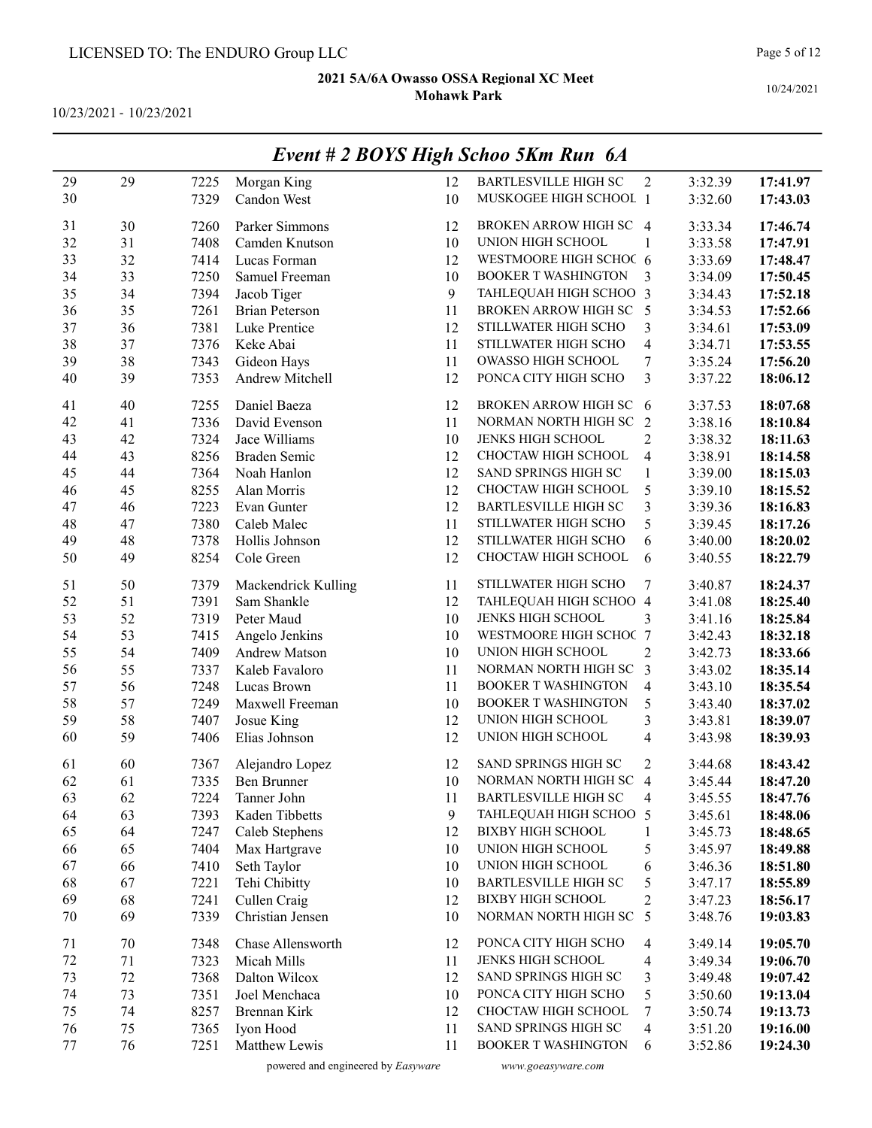10/23/2021 - 10/23/2021

|        |    |      |                       |              | $L$ vent $# 2$ DOTS High Schoo SKM Kun 0A |                         |         |          |
|--------|----|------|-----------------------|--------------|-------------------------------------------|-------------------------|---------|----------|
| 29     | 29 | 7225 | Morgan King           | 12           | <b>BARTLESVILLE HIGH SC</b>               | 2                       | 3:32.39 | 17:41.97 |
| 30     |    | 7329 | Candon West           | 10           | MUSKOGEE HIGH SCHOOL 1                    |                         | 3:32.60 | 17:43.03 |
|        |    |      |                       |              |                                           |                         |         |          |
| 31     | 30 | 7260 | Parker Simmons        | 12           | BROKEN ARROW HIGH SC 4                    |                         | 3:33.34 | 17:46.74 |
| 32     | 31 | 7408 | Camden Knutson        | 10           | UNION HIGH SCHOOL                         | 1                       | 3:33.58 | 17:47.91 |
| 33     | 32 | 7414 | Lucas Forman          | 12           | WESTMOORE HIGH SCHOC 6                    |                         | 3:33.69 | 17:48.47 |
| 34     | 33 | 7250 | Samuel Freeman        | 10           | <b>BOOKER T WASHINGTON</b>                | 3                       | 3:34.09 | 17:50.45 |
| 35     | 34 | 7394 | Jacob Tiger           | $\mathbf{9}$ | TAHLEQUAH HIGH SCHOO 3                    |                         | 3:34.43 | 17:52.18 |
| 36     | 35 | 7261 | <b>Brian Peterson</b> | 11           | BROKEN ARROW HIGH SC 5                    |                         | 3:34.53 | 17:52.66 |
| 37     | 36 | 7381 | Luke Prentice         | 12           | STILLWATER HIGH SCHO                      | 3                       | 3:34.61 | 17:53.09 |
| 38     | 37 | 7376 | Keke Abai             | 11           | STILLWATER HIGH SCHO                      | 4                       | 3:34.71 | 17:53.55 |
| 39     | 38 | 7343 | Gideon Hays           | 11           | OWASSO HIGH SCHOOL                        | 7                       | 3:35.24 | 17:56.20 |
| 40     | 39 | 7353 | Andrew Mitchell       | 12           | PONCA CITY HIGH SCHO                      | 3                       | 3:37.22 | 18:06.12 |
|        |    |      |                       |              |                                           |                         |         |          |
| 41     | 40 | 7255 | Daniel Baeza          | 12           | BROKEN ARROW HIGH SC                      | 6                       | 3:37.53 | 18:07.68 |
| 42     | 41 | 7336 | David Evenson         | 11           | NORMAN NORTH HIGH SC                      | 2                       | 3:38.16 | 18:10.84 |
| 43     | 42 | 7324 | Jace Williams         | 10           | JENKS HIGH SCHOOL                         | $\overline{c}$          | 3:38.32 | 18:11.63 |
| 44     | 43 | 8256 | Braden Semic          | 12           | CHOCTAW HIGH SCHOOL                       | $\overline{\mathbf{4}}$ | 3:38.91 | 18:14.58 |
| 45     | 44 | 7364 | Noah Hanlon           | 12           | SAND SPRINGS HIGH SC                      | $\mathbf{1}$            | 3:39.00 | 18:15.03 |
| 46     | 45 | 8255 | Alan Morris           | 12           | CHOCTAW HIGH SCHOOL                       | 5                       | 3:39.10 | 18:15.52 |
| 47     | 46 | 7223 | Evan Gunter           | 12           | <b>BARTLESVILLE HIGH SC</b>               | 3                       | 3:39.36 | 18:16.83 |
| 48     | 47 | 7380 | Caleb Malec           | 11           | STILLWATER HIGH SCHO                      | 5                       | 3:39.45 | 18:17.26 |
| 49     | 48 | 7378 | Hollis Johnson        | 12           | STILLWATER HIGH SCHO                      | 6                       | 3:40.00 | 18:20.02 |
| 50     | 49 | 8254 | Cole Green            | 12           | CHOCTAW HIGH SCHOOL                       | 6                       | 3:40.55 | 18:22.79 |
|        |    |      |                       |              |                                           |                         |         |          |
| 51     | 50 | 7379 | Mackendrick Kulling   | 11           | STILLWATER HIGH SCHO                      | 7                       | 3:40.87 | 18:24.37 |
| 52     | 51 | 7391 | Sam Shankle           | 12           | TAHLEQUAH HIGH SCHOO 4                    |                         | 3:41.08 | 18:25.40 |
| 53     | 52 | 7319 | Peter Maud            | 10           | JENKS HIGH SCHOOL                         | 3                       | 3:41.16 | 18:25.84 |
| 54     | 53 | 7415 | Angelo Jenkins        | 10           | WESTMOORE HIGH SCHOC 7                    |                         | 3:42.43 | 18:32.18 |
| 55     | 54 | 7409 | Andrew Matson         | 10           | UNION HIGH SCHOOL                         | 2                       | 3:42.73 | 18:33.66 |
| 56     | 55 | 7337 | Kaleb Favaloro        | 11           | NORMAN NORTH HIGH SC                      | 3                       | 3:43.02 | 18:35.14 |
| 57     | 56 | 7248 | Lucas Brown           | 11           | <b>BOOKER T WASHINGTON</b>                | $\overline{4}$          | 3:43.10 | 18:35.54 |
| 58     | 57 | 7249 | Maxwell Freeman       | 10           | <b>BOOKER T WASHINGTON</b>                | 5                       | 3:43.40 | 18:37.02 |
| 59     | 58 | 7407 | Josue King            | 12           | UNION HIGH SCHOOL                         | 3                       | 3:43.81 | 18:39.07 |
| 60     | 59 | 7406 | Elias Johnson         | 12           | UNION HIGH SCHOOL                         | $\overline{\mathbf{4}}$ | 3:43.98 | 18:39.93 |
|        |    |      |                       |              |                                           |                         |         |          |
| 61     | 60 | 7367 | Alejandro Lopez       | 12           | SAND SPRINGS HIGH SC                      | 2                       | 3:44.68 | 18:43.42 |
| 62     | 61 | 7335 | <b>Ben Brunner</b>    | 10           | NORMAN NORTH HIGH SC 4                    |                         | 3:45.44 | 18:47.20 |
| 63     | 62 | 7224 | Tanner John           | 11           | <b>BARTLESVILLE HIGH SC</b>               | 4                       | 3:45.55 | 18:47.76 |
| 64     | 63 | 7393 | Kaden Tibbetts        | 9            | TAHLEQUAH HIGH SCHOO 5                    |                         | 3:45.61 | 18:48.06 |
| 65     | 64 | 7247 | Caleb Stephens        | 12           | <b>BIXBY HIGH SCHOOL</b>                  | 1                       | 3:45.73 | 18:48.65 |
| 66     | 65 | 7404 | Max Hartgrave         | 10           | UNION HIGH SCHOOL                         | 5                       | 3:45.97 | 18:49.88 |
| 67     | 66 | 7410 | Seth Taylor           | 10           | UNION HIGH SCHOOL                         | 6                       | 3:46.36 | 18:51.80 |
| 68     | 67 | 7221 | Tehi Chibitty         | 10           | <b>BARTLESVILLE HIGH SC</b>               | 5                       | 3:47.17 | 18:55.89 |
| 69     | 68 | 7241 | Cullen Craig          | 12           | <b>BIXBY HIGH SCHOOL</b>                  | $\overline{c}$          | 3:47.23 | 18:56.17 |
| $70\,$ | 69 | 7339 | Christian Jensen      | 10           | NORMAN NORTH HIGH SC 5                    |                         | 3:48.76 | 19:03.83 |
| 71     | 70 | 7348 | Chase Allensworth     | 12           | PONCA CITY HIGH SCHO                      | 4                       | 3:49.14 | 19:05.70 |
| $72\,$ | 71 | 7323 | Micah Mills           | 11           | JENKS HIGH SCHOOL                         | 4                       | 3:49.34 | 19:06.70 |
| 73     | 72 | 7368 | Dalton Wilcox         | 12           | SAND SPRINGS HIGH SC                      |                         | 3:49.48 | 19:07.42 |
| 74     | 73 | 7351 | Joel Menchaca         | 10           | PONCA CITY HIGH SCHO                      | 3<br>5                  | 3:50.60 |          |
|        |    |      |                       |              | CHOCTAW HIGH SCHOOL                       |                         |         | 19:13.04 |
| 75     | 74 | 8257 | Brennan Kirk          | 12           |                                           | 7                       | 3:50.74 | 19:13.73 |
| 76     | 75 | 7365 | Iyon Hood             | 11           | SAND SPRINGS HIGH SC                      | 4                       | 3:51.20 | 19:16.00 |
| 77     | 76 | 7251 | Matthew Lewis         | 11           | <b>BOOKER T WASHINGTON</b>                | 6                       | 3:52.86 | 19:24.30 |

## Event # 2 BOYS High Schoo 5Km Run 6A

powered and engineered by Easyware www.goeasyware.com

10/24/2021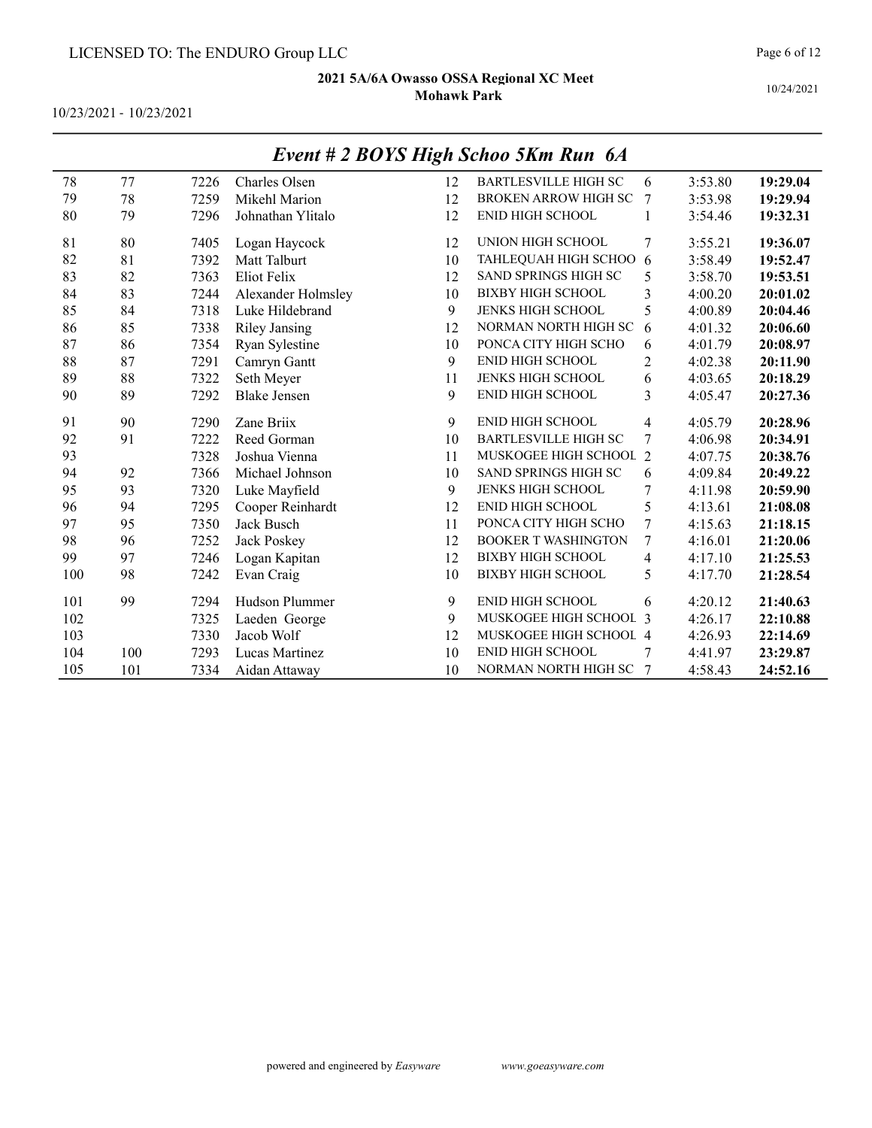10/23/2021 - 10/23/2021

|     |     |      |                      | o  |                             |                |         |          |
|-----|-----|------|----------------------|----|-----------------------------|----------------|---------|----------|
| 78  | 77  | 7226 | Charles Olsen        | 12 | <b>BARTLESVILLE HIGH SC</b> | 6              | 3:53.80 | 19:29.04 |
| 79  | 78  | 7259 | Mikehl Marion        | 12 | <b>BROKEN ARROW HIGH SC</b> | 7              | 3:53.98 | 19:29.94 |
| 80  | 79  | 7296 | Johnathan Ylitalo    | 12 | <b>ENID HIGH SCHOOL</b>     | 1              | 3:54.46 | 19:32.31 |
| 81  | 80  | 7405 | Logan Haycock        | 12 | UNION HIGH SCHOOL           | 7              | 3:55.21 | 19:36.07 |
| 82  | 81  | 7392 | Matt Talburt         | 10 | TAHLEQUAH HIGH SCHOO        | 6              | 3:58.49 | 19:52.47 |
| 83  | 82  | 7363 | Eliot Felix          | 12 | SAND SPRINGS HIGH SC        | 5              | 3:58.70 | 19:53.51 |
| 84  | 83  | 7244 | Alexander Holmsley   | 10 | <b>BIXBY HIGH SCHOOL</b>    | 3              | 4:00.20 | 20:01.02 |
| 85  | 84  | 7318 | Luke Hildebrand      | 9  | <b>JENKS HIGH SCHOOL</b>    | 5              | 4:00.89 | 20:04.46 |
| 86  | 85  | 7338 | <b>Riley Jansing</b> | 12 | NORMAN NORTH HIGH SC        | 6              | 4:01.32 | 20:06.60 |
| 87  | 86  | 7354 | Ryan Sylestine       | 10 | PONCA CITY HIGH SCHO        | 6              | 4:01.79 | 20:08.97 |
| 88  | 87  | 7291 | Camryn Gantt         | 9  | <b>ENID HIGH SCHOOL</b>     | $\overline{2}$ | 4:02.38 | 20:11.90 |
| 89  | 88  | 7322 | Seth Meyer           | 11 | JENKS HIGH SCHOOL           | 6              | 4:03.65 | 20:18.29 |
| 90  | 89  | 7292 | <b>Blake Jensen</b>  | 9  | ENID HIGH SCHOOL            | 3              | 4:05.47 | 20:27.36 |
| 91  | 90  | 7290 | Zane Briix           | 9  | <b>ENID HIGH SCHOOL</b>     | $\overline{4}$ | 4:05.79 | 20:28.96 |
| 92  | 91  | 7222 | Reed Gorman          | 10 | <b>BARTLESVILLE HIGH SC</b> | 7              | 4:06.98 | 20:34.91 |
| 93  |     | 7328 | Joshua Vienna        | 11 | MUSKOGEE HIGH SCHOOL 2      |                | 4:07.75 | 20:38.76 |
| 94  | 92  | 7366 | Michael Johnson      | 10 | <b>SAND SPRINGS HIGH SC</b> | 6              | 4:09.84 | 20:49.22 |
| 95  | 93  | 7320 | Luke Mayfield        | 9  | <b>JENKS HIGH SCHOOL</b>    | 7              | 4:11.98 | 20:59.90 |
| 96  | 94  | 7295 | Cooper Reinhardt     | 12 | <b>ENID HIGH SCHOOL</b>     | 5              | 4:13.61 | 21:08.08 |
| 97  | 95  | 7350 | Jack Busch           | 11 | PONCA CITY HIGH SCHO        | 7              | 4:15.63 | 21:18.15 |
| 98  | 96  | 7252 | Jack Poskey          | 12 | <b>BOOKER T WASHINGTON</b>  | 7              | 4:16.01 | 21:20.06 |
| 99  | 97  | 7246 | Logan Kapitan        | 12 | <b>BIXBY HIGH SCHOOL</b>    | 4              | 4:17.10 | 21:25.53 |
| 100 | 98  | 7242 | Evan Craig           | 10 | <b>BIXBY HIGH SCHOOL</b>    | 5              | 4:17.70 | 21:28.54 |
| 101 | 99  | 7294 | Hudson Plummer       | 9  | <b>ENID HIGH SCHOOL</b>     | 6              | 4:20.12 | 21:40.63 |
| 102 |     | 7325 | Laeden George        | 9  | MUSKOGEE HIGH SCHOOL 3      |                | 4:26.17 | 22:10.88 |
| 103 |     | 7330 | Jacob Wolf           | 12 | MUSKOGEE HIGH SCHOOL 4      |                | 4:26.93 | 22:14.69 |
| 104 | 100 | 7293 | Lucas Martinez       | 10 | <b>ENID HIGH SCHOOL</b>     |                | 4:41.97 | 23:29.87 |
| 105 | 101 | 7334 | Aidan Attaway        | 10 | NORMAN NORTH HIGH SC        |                | 4:58.43 | 24:52.16 |

## Event # 2 BOYS High Schoo 5Km Run 6A

10/24/2021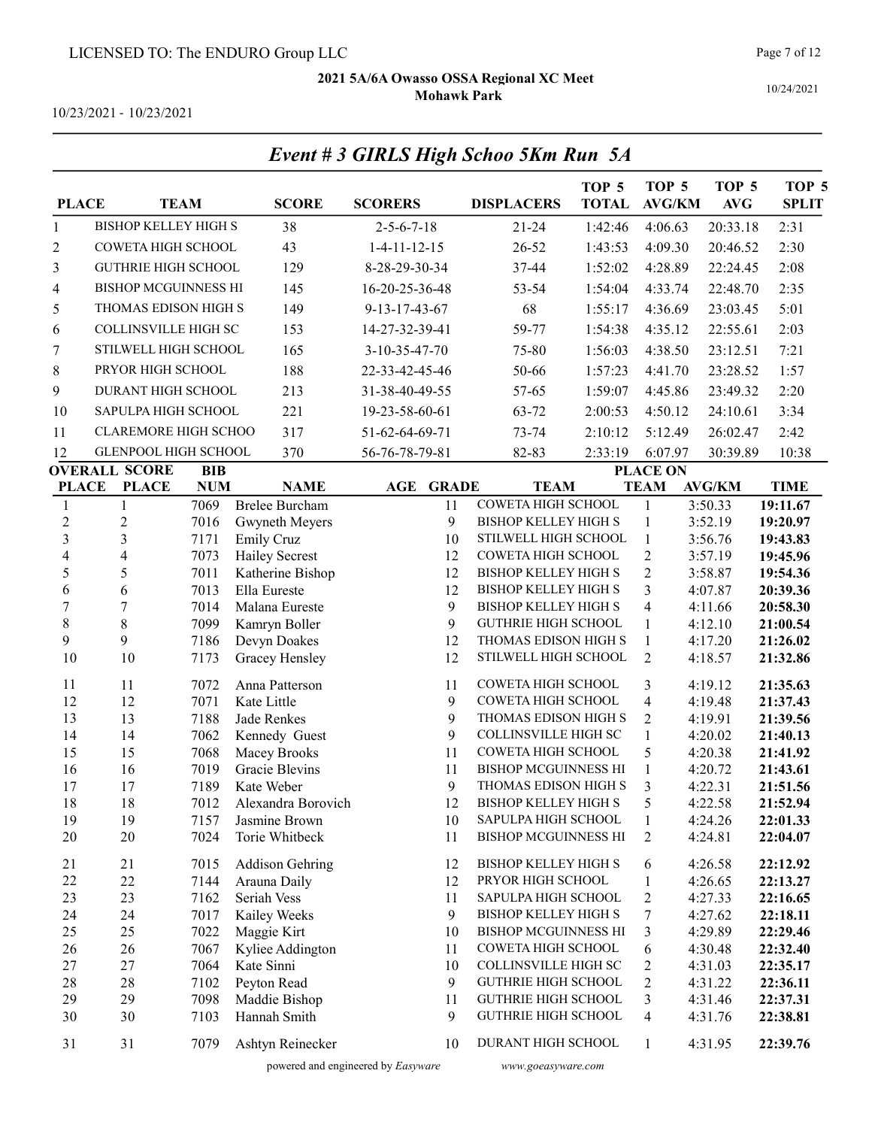Event # 3 GIRLS High Schoo 5Km Run 5A

10/24/2021

10/23/2021 - 10/23/2021

| <b>PLACE</b>             |                             | <b>TEAM</b>  | <b>SCORE</b>                    | <b>SCORERS</b>       |              | <b>DISPLACERS</b>                                        | TOP <sub>5</sub><br><b>TOTAL</b> | TOP 5<br><b>AVG/KM</b>         | TOP <sub>5</sub><br><b>AVG</b> | TOP <sub>5</sub><br><b>SPLIT</b> |
|--------------------------|-----------------------------|--------------|---------------------------------|----------------------|--------------|----------------------------------------------------------|----------------------------------|--------------------------------|--------------------------------|----------------------------------|
| $\mathbf{1}$             | <b>BISHOP KELLEY HIGH S</b> |              | 38                              | $2 - 5 - 6 - 7 - 18$ |              | $21 - 24$                                                | 1:42:46                          | 4:06.63                        | 20:33.18                       | 2:31                             |
| 2                        | COWETA HIGH SCHOOL          |              | 43                              | $1-4-11-12-15$       |              | 26-52                                                    | 1:43:53                          | 4:09.30                        | 20:46.52                       | 2:30                             |
| 3                        | <b>GUTHRIE HIGH SCHOOL</b>  |              | 129                             | 8-28-29-30-34        |              | 37-44                                                    | 1:52:02                          | 4:28.89                        | 22:24.45                       | 2:08                             |
| 4                        | <b>BISHOP MCGUINNESS HI</b> |              | 145                             | 16-20-25-36-48       |              | 53-54                                                    | 1:54:04                          | 4:33.74                        | 22:48.70                       | 2:35                             |
| 5                        | THOMAS EDISON HIGH S        |              | 149                             | 9-13-17-43-67        |              | 68                                                       | 1:55:17                          | 4:36.69                        | 23:03.45                       | 5:01                             |
| 6                        | COLLINSVILLE HIGH SC        |              | 153                             | 14-27-32-39-41       |              | 59-77                                                    | 1:54:38                          | 4:35.12                        | 22:55.61                       | 2:03                             |
|                          | STILWELL HIGH SCHOOL        |              | 165                             | 3-10-35-47-70        |              |                                                          |                                  |                                |                                | 7:21                             |
| 7                        |                             |              |                                 |                      |              | 75-80                                                    | 1:56:03                          | 4:38.50                        | 23:12.51                       |                                  |
| 8                        | PRYOR HIGH SCHOOL           |              | 188                             | 22-33-42-45-46       |              | 50-66                                                    | 1:57:23                          | 4:41.70                        | 23:28.52                       | 1:57                             |
| 9                        | DURANT HIGH SCHOOL          |              | 213                             | 31-38-40-49-55       |              | 57-65                                                    | 1:59:07                          | 4:45.86                        | 23:49.32                       | 2:20                             |
| 10                       | SAPULPA HIGH SCHOOL         |              | 221                             | 19-23-58-60-61       |              | 63-72                                                    | 2:00:53                          | 4:50.12                        | 24:10.61                       | 3:34                             |
| 11                       | <b>CLAREMORE HIGH SCHOO</b> |              | 317                             | 51-62-64-69-71       |              | 73-74                                                    | 2:10:12                          | 5:12.49                        | 26:02.47                       | 2:42                             |
| 12                       | GLENPOOL HIGH SCHOOL        |              | 370                             | 56-76-78-79-81       |              | 82-83                                                    | 2:33:19                          | 6:07.97                        | 30:39.89                       | 10:38                            |
|                          | <b>OVERALL SCORE</b>        | <b>BIB</b>   |                                 |                      |              |                                                          |                                  | <b>PLACE ON</b>                |                                |                                  |
| <b>PLACE</b>             | <b>PLACE</b>                | <b>NUM</b>   | <b>NAME</b>                     | $\mathbf{AGE}$       | <b>GRADE</b> | <b>TEAM</b>                                              |                                  | <b>TEAM</b>                    | <b>AVG/KM</b>                  | <b>TIME</b>                      |
| $\mathbf{1}$             | 1                           | 7069         | <b>Brelee Burcham</b>           |                      | 11           | COWETA HIGH SCHOOL                                       |                                  | $\mathbf{1}$                   | 3:50.33                        | 19:11.67                         |
| $\overline{c}$           | $\mathfrak{2}$              | 7016         | Gwyneth Meyers                  |                      | 9            | <b>BISHOP KELLEY HIGH S</b>                              |                                  | 1                              | 3:52.19                        | 19:20.97                         |
| $\overline{3}$           | 3                           | 7171         | <b>Emily Cruz</b>               |                      | 10           | STILWELL HIGH SCHOOL                                     |                                  | $\mathbf{1}$                   | 3:56.76                        | 19:43.83                         |
| $\overline{\mathcal{L}}$ | $\overline{4}$              | 7073         | <b>Hailey Secrest</b>           |                      | 12           | COWETA HIGH SCHOOL                                       |                                  | $\overline{c}$                 | 3:57.19                        | 19:45.96                         |
| 5                        | 5                           | 7011         | Katherine Bishop                |                      | 12           | <b>BISHOP KELLEY HIGH S</b>                              |                                  | $\overline{2}$                 | 3:58.87                        | 19:54.36                         |
| 6                        | 6                           | 7013         | Ella Eureste                    |                      | 12           | <b>BISHOP KELLEY HIGH S</b>                              |                                  | 3                              | 4:07.87                        | 20:39.36                         |
| $\overline{7}$           | $\sqrt{ }$                  | 7014         | Malana Eureste                  |                      | 9            | <b>BISHOP KELLEY HIGH S</b>                              |                                  | $\overline{4}$                 | 4:11.66                        | 20:58.30                         |
| $\,8\,$                  | $8\,$<br>9                  | 7099         | Kamryn Boller                   |                      | 9            | <b>GUTHRIE HIGH SCHOOL</b>                               |                                  | $\mathbf{1}$                   | 4:12.10                        | 21:00.54                         |
| 9<br>10                  | 10                          | 7186<br>7173 | Devyn Doakes<br>Gracey Hensley  |                      | 12<br>12     | THOMAS EDISON HIGH S<br>STILWELL HIGH SCHOOL             |                                  | $\mathbf{1}$<br>$\overline{2}$ | 4:17.20<br>4:18.57             | 21:26.02<br>21:32.86             |
|                          |                             |              |                                 |                      |              |                                                          |                                  |                                |                                |                                  |
| 11                       | 11                          | 7072         | Anna Patterson                  |                      | 11           | COWETA HIGH SCHOOL                                       |                                  | 3                              | 4:19.12                        | 21:35.63                         |
| 12                       | 12                          | 7071         | Kate Little                     |                      | 9            | COWETA HIGH SCHOOL                                       |                                  | $\overline{4}$                 | 4:19.48                        | 21:37.43                         |
| 13                       | 13                          | 7188         | Jade Renkes                     |                      | 9            | THOMAS EDISON HIGH S                                     |                                  | $\overline{2}$                 | 4:19.91                        | 21:39.56                         |
| 14                       | 14                          | 7062         | Kennedy Guest                   |                      | 9            | <b>COLLINSVILLE HIGH SC</b>                              |                                  | $\mathbf{1}$                   | 4:20.02                        | 21:40.13                         |
| 15                       | 15                          | 7068         | Macey Brooks                    |                      | 11           | COWETA HIGH SCHOOL                                       |                                  | 5                              | 4:20.38                        | 21:41.92                         |
| 16                       | 16                          | 7019         | Gracie Blevins                  |                      | 11           | <b>BISHOP MCGUINNESS HI</b>                              |                                  | $\mathbf{1}$                   | 4:20.72                        | 21:43.61                         |
| 17                       | 17                          | 7189         | Kate Weber                      |                      | 9            | THOMAS EDISON HIGH S                                     |                                  | 3                              | 4:22.31                        | 21:51.56                         |
| 18                       | 18                          | 7012         | Alexandra Borovich              |                      | 12<br>10     | <b>BISHOP KELLEY HIGH S</b><br>SAPULPA HIGH SCHOOL       |                                  | 5                              | 4:22.58                        | 21:52.94                         |
| 19<br>20                 | 19<br>20                    | 7157<br>7024 | Jasmine Brown<br>Torie Whitbeck |                      | 11           | <b>BISHOP MCGUINNESS HI</b>                              |                                  | 1<br>$\overline{c}$            | 4:24.26<br>4:24.81             | 22:01.33<br>22:04.07             |
|                          |                             |              |                                 |                      |              |                                                          |                                  |                                |                                |                                  |
| 21                       | 21                          | 7015         | <b>Addison Gehring</b>          |                      | 12           | <b>BISHOP KELLEY HIGH S</b>                              |                                  | 6                              | 4:26.58                        | 22:12.92                         |
| 22                       | 22                          | 7144         | Arauna Daily                    |                      | 12           | PRYOR HIGH SCHOOL                                        |                                  | $\mathbf{1}$                   | 4:26.65                        | 22:13.27                         |
| 23                       | 23                          | 7162         | Seriah Vess                     |                      | 11           | SAPULPA HIGH SCHOOL                                      |                                  | $\overline{c}$                 | 4:27.33                        | 22:16.65                         |
| 24                       | 24                          | 7017         | Kailey Weeks                    |                      | 9            | BISHOP KELLEY HIGH S                                     |                                  | 7                              | 4:27.62                        | 22:18.11                         |
| 25                       | 25                          | 7022         | Maggie Kirt                     |                      | 10           | <b>BISHOP MCGUINNESS HI</b>                              |                                  | 3                              | 4:29.89                        | 22:29.46                         |
| 26                       | 26                          | 7067         | Kyliee Addington                |                      | 11           | COWETA HIGH SCHOOL                                       |                                  | 6                              | 4:30.48                        | 22:32.40                         |
| 27                       | 27                          | 7064         | Kate Sinni                      |                      | 10           | COLLINSVILLE HIGH SC                                     |                                  | $\overline{c}$                 | 4:31.03                        | 22:35.17                         |
| 28<br>29                 | 28                          | 7102         | Peyton Read                     |                      | 9            | <b>GUTHRIE HIGH SCHOOL</b><br><b>GUTHRIE HIGH SCHOOL</b> |                                  | 2                              | 4:31.22                        | 22:36.11                         |
| 30                       | 29<br>30                    | 7098<br>7103 | Maddie Bishop<br>Hannah Smith   |                      | 11<br>9      | <b>GUTHRIE HIGH SCHOOL</b>                               |                                  | 3<br>4                         | 4:31.46<br>4:31.76             | 22:37.31<br>22:38.81             |
|                          |                             |              |                                 |                      |              |                                                          |                                  |                                |                                |                                  |
| 31                       | 31                          | 7079         | Ashtyn Reinecker                |                      | 10           | DURANT HIGH SCHOOL                                       |                                  | $\mathbf{1}$                   | 4:31.95                        | 22:39.76                         |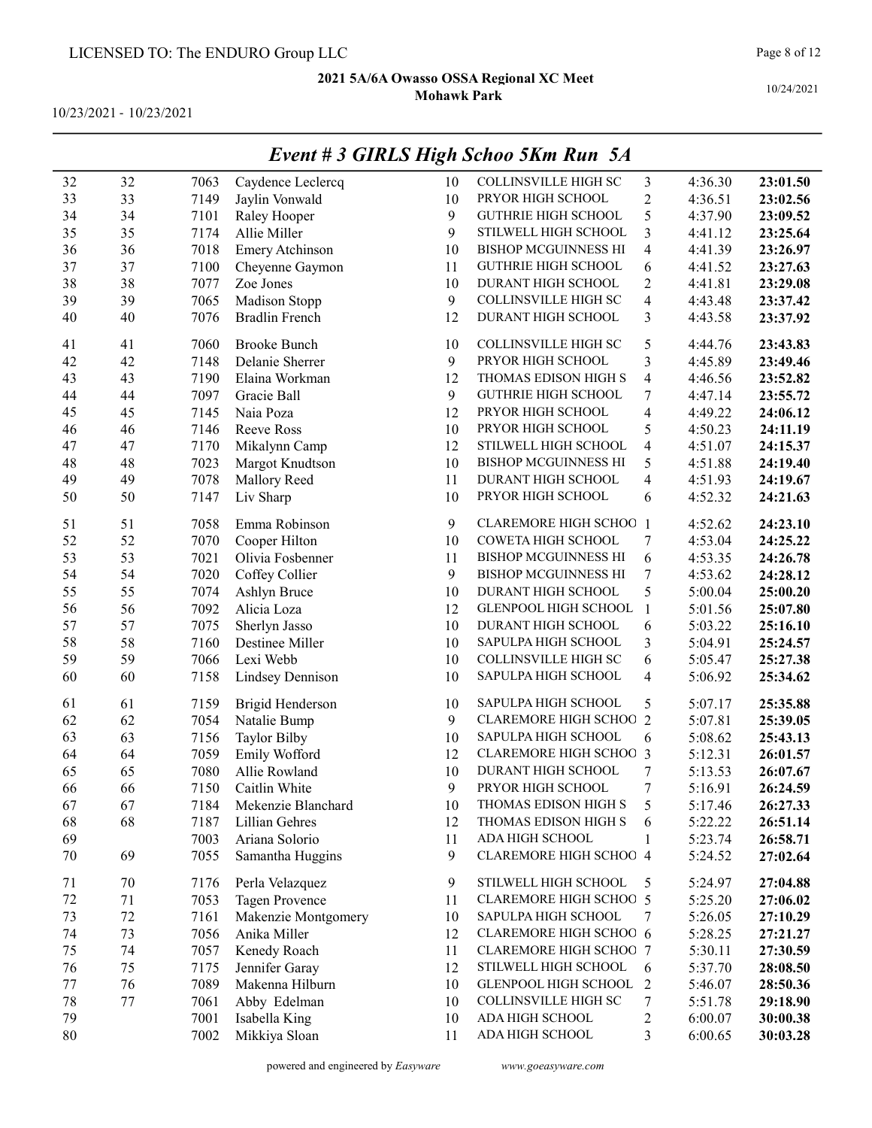10/23/2021 - 10/23/2021

|    | Event # 3 GIRLS High Schoo 5Km Run 5A |      |                         |    |                               |                |         |          |  |  |
|----|---------------------------------------|------|-------------------------|----|-------------------------------|----------------|---------|----------|--|--|
| 32 | 32                                    | 7063 | Caydence Leclercq       | 10 | <b>COLLINSVILLE HIGH SC</b>   | 3              | 4:36.30 | 23:01.50 |  |  |
| 33 | 33                                    | 7149 | Jaylin Vonwald          | 10 | PRYOR HIGH SCHOOL             | $\overline{c}$ | 4:36.51 | 23:02.56 |  |  |
| 34 | 34                                    | 7101 | Raley Hooper            | 9  | <b>GUTHRIE HIGH SCHOOL</b>    | 5              | 4:37.90 | 23:09.52 |  |  |
| 35 | 35                                    | 7174 | Allie Miller            | 9  | STILWELL HIGH SCHOOL          | 3              | 4:41.12 | 23:25.64 |  |  |
| 36 | 36                                    | 7018 | Emery Atchinson         | 10 | <b>BISHOP MCGUINNESS HI</b>   | 4              | 4:41.39 | 23:26.97 |  |  |
| 37 | 37                                    | 7100 | Cheyenne Gaymon         | 11 | <b>GUTHRIE HIGH SCHOOL</b>    | 6              | 4:41.52 | 23:27.63 |  |  |
| 38 | 38                                    | 7077 | Zoe Jones               | 10 | DURANT HIGH SCHOOL            | $\overline{c}$ | 4:41.81 | 23:29.08 |  |  |
| 39 | 39                                    | 7065 | Madison Stopp           | 9  | <b>COLLINSVILLE HIGH SC</b>   | 4              | 4:43.48 | 23:37.42 |  |  |
| 40 | 40                                    | 7076 | <b>Bradlin French</b>   | 12 | DURANT HIGH SCHOOL            | 3              | 4:43.58 | 23:37.92 |  |  |
| 41 | 41                                    | 7060 | <b>Brooke Bunch</b>     | 10 | COLLINSVILLE HIGH SC          | 5              | 4:44.76 | 23:43.83 |  |  |
| 42 | 42                                    | 7148 | Delanie Sherrer         | 9  | PRYOR HIGH SCHOOL             | 3              | 4:45.89 | 23:49.46 |  |  |
| 43 | 43                                    | 7190 | Elaina Workman          | 12 | THOMAS EDISON HIGH S          | 4              | 4:46.56 | 23:52.82 |  |  |
| 44 | 44                                    | 7097 | Gracie Ball             | 9  | <b>GUTHRIE HIGH SCHOOL</b>    | 7              | 4:47.14 | 23:55.72 |  |  |
| 45 | 45                                    | 7145 | Naia Poza               | 12 | PRYOR HIGH SCHOOL             | 4              | 4:49.22 | 24:06.12 |  |  |
| 46 | 46                                    | 7146 | Reeve Ross              | 10 | PRYOR HIGH SCHOOL             | 5              | 4:50.23 | 24:11.19 |  |  |
| 47 | 47                                    | 7170 | Mikalynn Camp           | 12 | STILWELL HIGH SCHOOL          | 4              | 4:51.07 | 24:15.37 |  |  |
| 48 | 48                                    | 7023 | Margot Knudtson         | 10 | <b>BISHOP MCGUINNESS HI</b>   | 5              | 4:51.88 | 24:19.40 |  |  |
| 49 | 49                                    | 7078 | Mallory Reed            | 11 | DURANT HIGH SCHOOL            | 4              | 4:51.93 | 24:19.67 |  |  |
| 50 | 50                                    | 7147 | Liv Sharp               | 10 | PRYOR HIGH SCHOOL             | 6              | 4:52.32 | 24:21.63 |  |  |
| 51 | 51                                    | 7058 | Emma Robinson           | 9  | CLAREMORE HIGH SCHOO          | -1             | 4:52.62 | 24:23.10 |  |  |
| 52 | 52                                    | 7070 | Cooper Hilton           | 10 | COWETA HIGH SCHOOL            | 7              | 4:53.04 | 24:25.22 |  |  |
| 53 | 53                                    | 7021 | Olivia Fosbenner        | 11 | <b>BISHOP MCGUINNESS HI</b>   | 6              | 4:53.35 | 24:26.78 |  |  |
| 54 | 54                                    | 7020 | Coffey Collier          | 9  | <b>BISHOP MCGUINNESS HI</b>   | 7              | 4:53.62 | 24:28.12 |  |  |
| 55 | 55                                    | 7074 | Ashlyn Bruce            | 10 | DURANT HIGH SCHOOL            | 5              | 5:00.04 | 25:00.20 |  |  |
| 56 | 56                                    | 7092 | Alicia Loza             | 12 | GLENPOOL HIGH SCHOOL          | $\mathbf{1}$   | 5:01.56 | 25:07.80 |  |  |
| 57 | 57                                    | 7075 | Sherlyn Jasso           | 10 | DURANT HIGH SCHOOL            | 6              | 5:03.22 | 25:16.10 |  |  |
| 58 | 58                                    | 7160 | Destinee Miller         | 10 | SAPULPA HIGH SCHOOL           | 3              | 5:04.91 | 25:24.57 |  |  |
| 59 | 59                                    | 7066 | Lexi Webb               | 10 | <b>COLLINSVILLE HIGH SC</b>   | 6              | 5:05.47 | 25:27.38 |  |  |
| 60 | 60                                    | 7158 | <b>Lindsey Dennison</b> | 10 | SAPULPA HIGH SCHOOL           | 4              | 5:06.92 | 25:34.62 |  |  |
| 61 | 61                                    | 7159 | Brigid Henderson        | 10 | SAPULPA HIGH SCHOOL           | 5              | 5:07.17 | 25:35.88 |  |  |
| 62 | 62                                    | 7054 | Natalie Bump            | 9  | <b>CLAREMORE HIGH SCHOO</b>   | $\overline{2}$ | 5:07.81 | 25:39.05 |  |  |
| 63 | 63                                    | 7156 | <b>Taylor Bilby</b>     | 10 | SAPULPA HIGH SCHOOL           | 6              | 5:08.62 | 25:43.13 |  |  |
| 64 | 64                                    | 7059 | Emily Wofford           | 12 | <b>CLAREMORE HIGH SCHOO 3</b> |                | 5:12.31 | 26:01.57 |  |  |
| 65 | 65                                    | 7080 | Allie Rowland           | 10 | DURANT HIGH SCHOOL            | 7              | 5:13.53 | 26:07.67 |  |  |
| 66 | 66                                    | 7150 | Caitlin White           | 9  | PRYOR HIGH SCHOOL             | 7              | 5:16.91 | 26:24.59 |  |  |
| 67 | 67                                    | 7184 | Mekenzie Blanchard      | 10 | THOMAS EDISON HIGH S          | 5              | 5:17.46 | 26:27.33 |  |  |
| 68 | 68                                    | 7187 | Lillian Gehres          | 12 | THOMAS EDISON HIGH S          | 6              | 5:22.22 | 26:51.14 |  |  |
| 69 |                                       | 7003 | Ariana Solorio          | 11 | ADA HIGH SCHOOL               | 1              | 5:23.74 | 26:58.71 |  |  |
| 70 | 69                                    | 7055 | Samantha Huggins        | 9  | <b>CLAREMORE HIGH SCHOO 4</b> |                | 5:24.52 | 27:02.64 |  |  |
| 71 | 70                                    | 7176 | Perla Velazquez         | 9  | STILWELL HIGH SCHOOL          | 5              | 5:24.97 | 27:04.88 |  |  |
| 72 | 71                                    | 7053 | <b>Tagen Provence</b>   | 11 | <b>CLAREMORE HIGH SCHOO 5</b> |                | 5:25.20 | 27:06.02 |  |  |
| 73 | 72                                    | 7161 | Makenzie Montgomery     | 10 | SAPULPA HIGH SCHOOL           | 7              | 5:26.05 | 27:10.29 |  |  |
| 74 | 73                                    | 7056 | Anika Miller            | 12 | CLAREMORE HIGH SCHOO 6        |                | 5:28.25 | 27:21.27 |  |  |
| 75 | 74                                    | 7057 | Kenedy Roach            | 11 | <b>CLAREMORE HIGH SCHOO 7</b> |                | 5:30.11 | 27:30.59 |  |  |
| 76 | 75                                    | 7175 | Jennifer Garay          | 12 | STILWELL HIGH SCHOOL          | 6              | 5:37.70 | 28:08.50 |  |  |
| 77 | 76                                    | 7089 | Makenna Hilburn         | 10 | GLENPOOL HIGH SCHOOL          | $\overline{2}$ | 5:46.07 | 28:50.36 |  |  |
| 78 | 77                                    | 7061 | Abby Edelman            | 10 | COLLINSVILLE HIGH SC          | 7              | 5:51.78 | 29:18.90 |  |  |
| 79 |                                       | 7001 | Isabella King           | 10 | ADA HIGH SCHOOL               | 2              | 6:00.07 | 30:00.38 |  |  |
| 80 |                                       | 7002 | Mikkiya Sloan           | 11 | ADA HIGH SCHOOL               | 3              | 6:00.65 | 30:03.28 |  |  |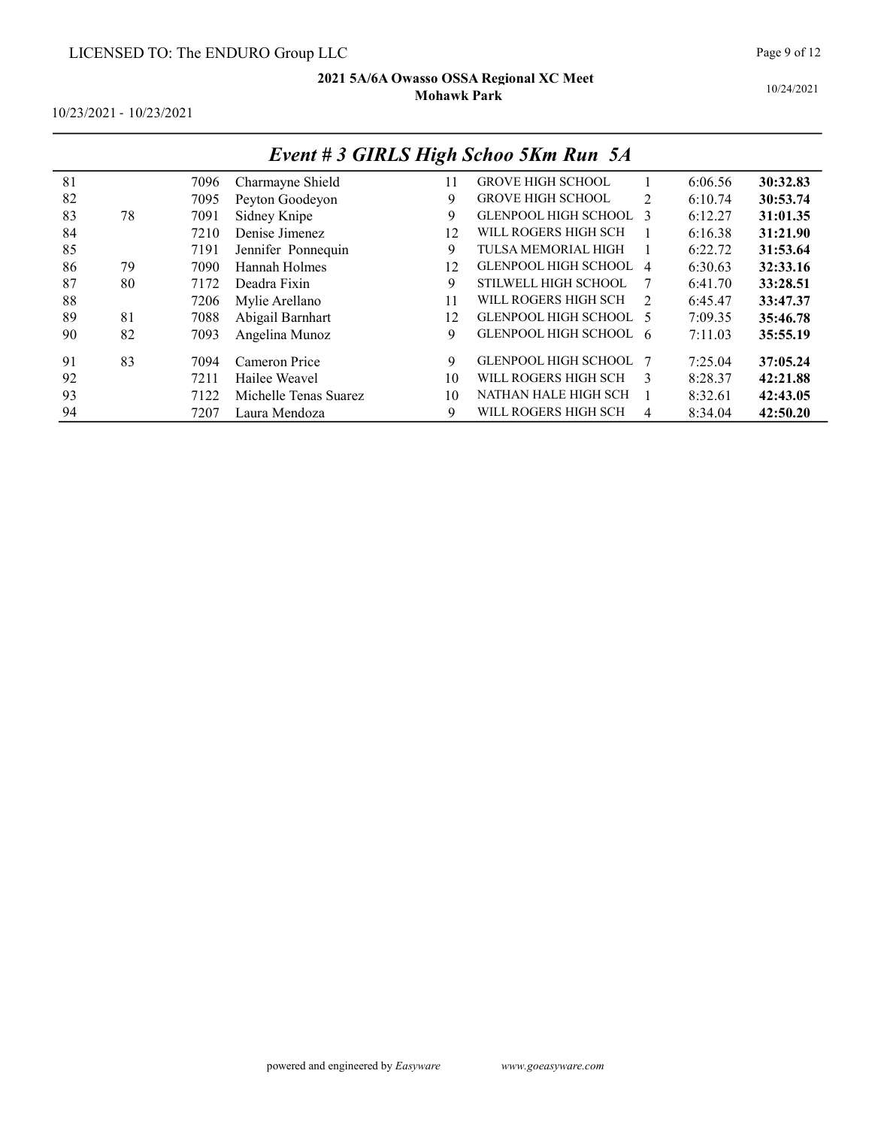10/24/2021

10/23/2021 - 10/23/2021

|    |    |      |                       |    | Event + 3 GINLS High Schoo 3Km Kun 3A |                |         |          |
|----|----|------|-----------------------|----|---------------------------------------|----------------|---------|----------|
| 81 |    | 7096 | Charmayne Shield      | 11 | <b>GROVE HIGH SCHOOL</b>              |                | 6:06.56 | 30:32.83 |
| 82 |    | 7095 | Peyton Goodeyon       | 9  | <b>GROVE HIGH SCHOOL</b>              | $\mathfrak{D}$ | 6:10.74 | 30:53.74 |
| 83 | 78 | 7091 | Sidney Knipe          | 9  | GLENPOOL HIGH SCHOOL                  | $\mathcal{R}$  | 6:12.27 | 31:01.35 |
| 84 |    | 7210 | Denise Jimenez        | 12 | WILL ROGERS HIGH SCH                  |                | 6:16.38 | 31:21.90 |
| 85 |    | 7191 | Jennifer Ponnequin    | 9  | <b>TULSA MEMORIAL HIGH</b>            |                | 6:22.72 | 31:53.64 |
| 86 | 79 | 7090 | Hannah Holmes         | 12 | GLENPOOL HIGH SCHOOL 4                |                | 6:30.63 | 32:33.16 |
| 87 | 80 | 7172 | Deadra Fixin          | 9  | STILWELL HIGH SCHOOL                  | -7             | 6:41.70 | 33:28.51 |
| 88 |    | 7206 | Mylie Arellano        | 11 | WILL ROGERS HIGH SCH                  | $\mathcal{D}$  | 6:45.47 | 33:47.37 |
| 89 | 81 | 7088 | Abigail Barnhart      | 12 | GLENPOOL HIGH SCHOOL 5                |                | 7:09.35 | 35:46.78 |
| 90 | 82 | 7093 | Angelina Munoz        | 9  | GLENPOOL HIGH SCHOOL 6                |                | 7:11.03 | 35:55.19 |
| 91 | 83 | 7094 | Cameron Price         | 9  | <b>GLENPOOL HIGH SCHOOL</b>           |                | 7:25.04 | 37:05.24 |
| 92 |    | 7211 | Hailee Weavel         | 10 | WILL ROGERS HIGH SCH                  | 3              | 8:28.37 | 42:21.88 |
| 93 |    | 7122 | Michelle Tenas Suarez | 10 | NATHAN HALE HIGH SCH                  |                | 8:32.61 | 42:43.05 |
| 94 |    | 7207 | Laura Mendoza         | 9  | WILL ROGERS HIGH SCH                  | $\overline{4}$ | 8:34.04 | 42:50.20 |

# Event # 3 GIRLS High Schoo 5Km Run 5A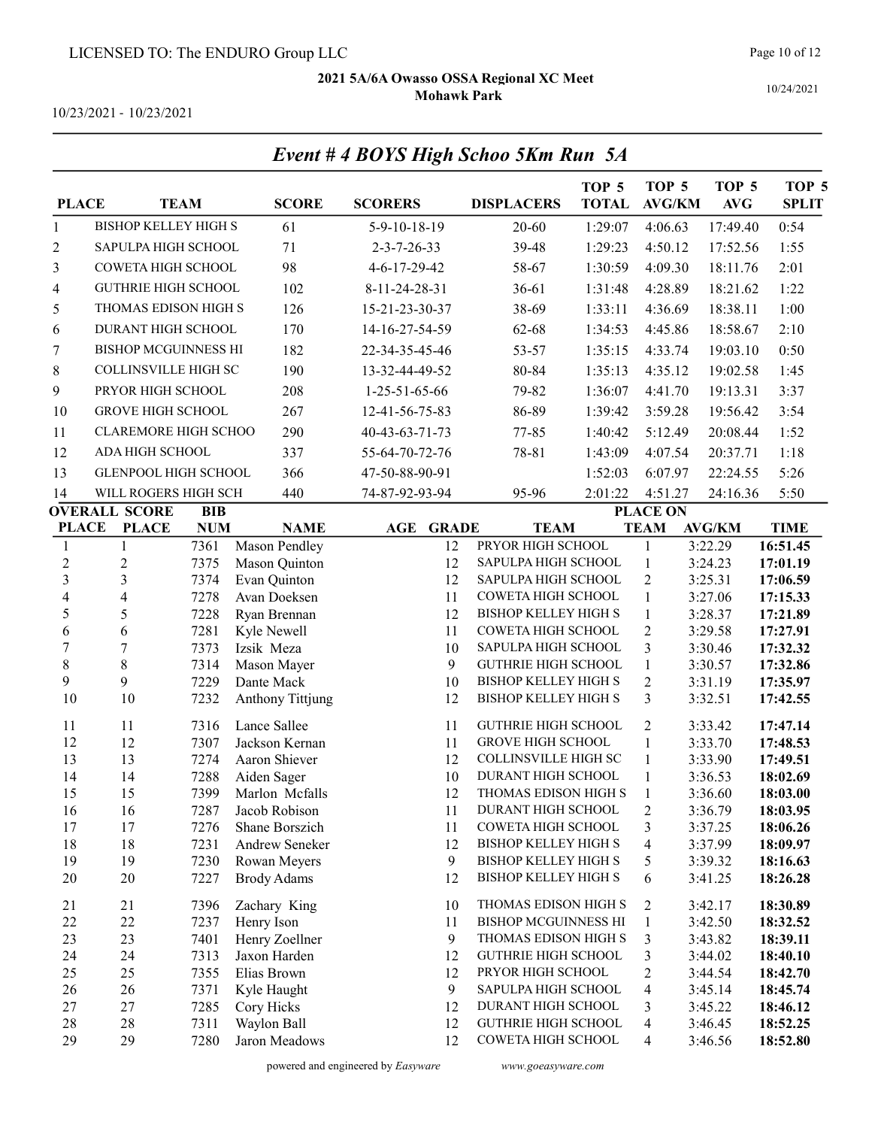Page 10 of 12

10/24/2021

10/23/2021 - 10/23/2021

| <b>PLACE</b>                     |                                                    | <b>TEAM</b>  | <b>SCORE</b>                 | <b>SCORERS</b>        | <b>DISPLACERS</b>                                | TOP <sub>5</sub><br><b>TOTAL</b> | TOP <sub>5</sub><br><b>AVG/KM</b> | TOP <sub>5</sub><br><b>AVG</b> | TOP <sub>5</sub><br><b>SPLIT</b> |
|----------------------------------|----------------------------------------------------|--------------|------------------------------|-----------------------|--------------------------------------------------|----------------------------------|-----------------------------------|--------------------------------|----------------------------------|
| $\mathbf{1}$                     | <b>BISHOP KELLEY HIGH S</b>                        |              | 61                           | 5-9-10-18-19          | 20-60                                            | 1:29:07                          | 4:06.63                           | 17:49.40                       | 0:54                             |
| 2                                | SAPULPA HIGH SCHOOL                                |              | 71                           | $2 - 3 - 7 - 26 - 33$ | 39-48                                            | 1:29:23                          | 4:50.12                           | 17:52.56                       | 1:55                             |
| 3                                | COWETA HIGH SCHOOL                                 |              | 98                           | 4-6-17-29-42          | 58-67                                            | 1:30:59                          | 4:09.30                           | 18:11.76                       | 2:01                             |
| 4                                | <b>GUTHRIE HIGH SCHOOL</b>                         |              | 102                          | 8-11-24-28-31         | $36 - 61$                                        | 1:31:48                          | 4:28.89                           | 18:21.62                       | 1:22                             |
| 5                                | THOMAS EDISON HIGH S                               |              | 126                          | 15-21-23-30-37        | 38-69                                            | 1:33:11                          | 4:36.69                           | 18:38.11                       | 1:00                             |
| 6                                | DURANT HIGH SCHOOL                                 |              | 170                          | 14-16-27-54-59        | 62-68                                            | 1:34:53                          | 4:45.86                           | 18:58.67                       | 2:10                             |
| 7                                | <b>BISHOP MCGUINNESS HI</b>                        |              | 182                          | 22-34-35-45-46        | 53-57                                            | 1:35:15                          | 4:33.74                           | 19:03.10                       | 0:50                             |
|                                  | COLLINSVILLE HIGH SC                               |              | 190                          | 13-32-44-49-52        | 80-84                                            |                                  |                                   | 19:02.58                       | 1:45                             |
| 8                                |                                                    |              |                              |                       |                                                  | 1:35:13                          | 4:35.12                           |                                |                                  |
| 9                                | PRYOR HIGH SCHOOL                                  |              | 208                          | $1-25-51-65-66$       | 79-82                                            | 1:36:07                          | 4:41.70                           | 19:13.31                       | 3:37                             |
| 10                               | <b>GROVE HIGH SCHOOL</b>                           |              | 267                          | 12-41-56-75-83        | 86-89                                            | 1:39:42                          | 3:59.28                           | 19:56.42                       | 3:54                             |
| 11                               | CLAREMORE HIGH SCHOO                               |              | 290                          | 40-43-63-71-73        | 77-85                                            | 1:40:42                          | 5:12.49                           | 20:08.44                       | 1:52                             |
| 12                               | ADA HIGH SCHOOL                                    |              | 337                          | 55-64-70-72-76        | 78-81                                            | 1:43:09                          | 4:07.54                           | 20:37.71                       | 1:18                             |
| 13                               | GLENPOOL HIGH SCHOOL                               |              | 366                          | 47-50-88-90-91        |                                                  | 1:52:03                          | 6:07.97                           | 22:24.55                       | 5:26                             |
| 14                               | WILL ROGERS HIGH SCH                               |              | 440                          | 74-87-92-93-94        | 95-96                                            | 2:01:22                          | 4:51.27                           | 24:16.36                       | 5:50                             |
|                                  | <b>OVERALL SCORE</b>                               | <b>BIB</b>   |                              |                       |                                                  |                                  | <b>PLACE ON</b>                   |                                |                                  |
| <b>PLACE</b>                     | <b>PLACE</b>                                       | <b>NUM</b>   | <b>NAME</b>                  | <b>AGE GRADE</b>      | <b>TEAM</b>                                      |                                  | <b>TEAM</b>                       | <b>AVG/KM</b>                  | <b>TIME</b>                      |
| 1                                | $\mathbf{1}$                                       | 7361         | Mason Pendley                | 12                    | PRYOR HIGH SCHOOL                                |                                  | $\mathbf{1}$                      | 3:22.29                        | 16:51.45                         |
| $\overline{2}$<br>$\overline{3}$ | $\overline{c}$                                     | 7375         | Mason Quinton                | 12                    | SAPULPA HIGH SCHOOL                              |                                  | $\mathbf{1}$                      | 3:24.23                        | 17:01.19                         |
| $\overline{\mathbf{4}}$          | $\overline{\mathbf{3}}$<br>$\overline{\mathbf{4}}$ | 7374<br>7278 | Evan Quinton<br>Avan Doeksen | 12<br>11              | SAPULPA HIGH SCHOOL<br>COWETA HIGH SCHOOL        |                                  | $\overline{2}$<br>$\mathbf{1}$    | 3:25.31<br>3:27.06             | 17:06.59<br>17:15.33             |
| 5                                | 5                                                  | 7228         | Ryan Brennan                 | 12                    | <b>BISHOP KELLEY HIGH S</b>                      |                                  | $\mathbf{1}$                      | 3:28.37                        | 17:21.89                         |
| 6                                | 6                                                  | 7281         | Kyle Newell                  | 11                    | COWETA HIGH SCHOOL                               |                                  | $\overline{2}$                    | 3:29.58                        | 17:27.91                         |
| $\overline{7}$                   | $\overline{7}$                                     | 7373         | Izsik Meza                   | 10                    | SAPULPA HIGH SCHOOL                              |                                  | 3                                 | 3:30.46                        | 17:32.32                         |
| $\,8$                            | 8                                                  | 7314         | Mason Mayer                  | 9                     | <b>GUTHRIE HIGH SCHOOL</b>                       |                                  | $\mathbf{1}$                      | 3:30.57                        | 17:32.86                         |
| 9                                | 9                                                  | 7229         | Dante Mack                   | 10                    | <b>BISHOP KELLEY HIGH S</b>                      |                                  | $\overline{c}$                    | 3:31.19                        | 17:35.97                         |
| 10                               | 10                                                 | 7232         | Anthony Tittjung             | 12                    | <b>BISHOP KELLEY HIGH S</b>                      |                                  | 3                                 | 3:32.51                        | 17:42.55                         |
| 11                               | 11                                                 | 7316         | Lance Sallee                 | 11                    | <b>GUTHRIE HIGH SCHOOL</b>                       |                                  | $\overline{2}$                    | 3:33.42                        | 17:47.14                         |
| 12                               | 12                                                 | 7307         | Jackson Kernan               | 11                    | <b>GROVE HIGH SCHOOL</b>                         |                                  | $\mathbf{1}$                      | 3:33.70                        | 17:48.53                         |
| 13                               | 13                                                 | 7274         | Aaron Shiever                | 12                    | <b>COLLINSVILLE HIGH SC</b>                      |                                  | $\mathbf{1}$                      | 3:33.90                        | 17:49.51                         |
| 14                               | 14                                                 | 7288         | Aiden Sager                  | 10                    | DURANT HIGH SCHOOL                               |                                  | $\mathbf{1}$                      | 3:36.53                        | 18:02.69                         |
| 15                               | 15                                                 | 7399         | Marlon Mcfalls               | 12                    | THOMAS EDISON HIGH S                             |                                  | $\mathbf{1}$                      | 3:36.60                        | 18:03.00                         |
| 16                               | 16                                                 | 7287         | Jacob Robison                | 11                    | DURANT HIGH SCHOOL                               |                                  | 2                                 | 3:36.79                        | 18:03.95                         |
| 17                               | 17                                                 | 7276         | Shane Borszich               | 11                    | COWETA HIGH SCHOOL                               |                                  | 3                                 | 3:37.25                        | 18:06.26                         |
| 18                               | 18                                                 | 7231         | Andrew Seneker               | 12                    | <b>BISHOP KELLEY HIGH S</b>                      |                                  | 4                                 | 3:37.99                        | 18:09.97                         |
| 19                               | 19                                                 | 7230         | Rowan Meyers                 | 9                     | <b>BISHOP KELLEY HIGH S</b>                      |                                  | 5                                 | 3:39.32                        | 18:16.63                         |
| 20                               | 20                                                 | 7227         | <b>Brody Adams</b>           | 12                    | <b>BISHOP KELLEY HIGH S</b>                      |                                  | 6                                 | 3:41.25                        | 18:26.28                         |
| 21                               | 21                                                 | 7396         | Zachary King                 | 10                    | THOMAS EDISON HIGH S                             |                                  | 2                                 | 3:42.17                        | 18:30.89                         |
| 22                               | 22                                                 | 7237         | Henry Ison                   | 11                    | BISHOP MCGUINNESS HI                             |                                  | $\mathbf{1}$                      | 3:42.50                        | 18:32.52                         |
| 23                               | 23                                                 | 7401         | Henry Zoellner               | 9                     | THOMAS EDISON HIGH S                             |                                  | 3                                 | 3:43.82                        | 18:39.11                         |
| 24                               | 24                                                 | 7313         | Jaxon Harden                 | 12                    | <b>GUTHRIE HIGH SCHOOL</b>                       |                                  | 3                                 | 3:44.02                        | 18:40.10                         |
| 25                               | 25                                                 | 7355         | Elias Brown                  | 12                    | PRYOR HIGH SCHOOL                                |                                  | 2                                 | 3:44.54                        | 18:42.70                         |
| 26                               | 26                                                 | 7371         | Kyle Haught                  | 9                     | SAPULPA HIGH SCHOOL                              |                                  | 4                                 | 3:45.14                        | 18:45.74                         |
| 27                               | 27                                                 | 7285         | Cory Hicks                   | 12                    | DURANT HIGH SCHOOL                               |                                  | 3                                 | 3:45.22                        | 18:46.12                         |
| 28<br>29                         | 28<br>29                                           | 7311<br>7280 | Waylon Ball<br>Jaron Meadows | 12<br>12              | <b>GUTHRIE HIGH SCHOOL</b><br>COWETA HIGH SCHOOL |                                  | 4<br>4                            | 3:46.45<br>3:46.56             | 18:52.25<br>18:52.80             |
|                                  |                                                    |              |                              |                       |                                                  |                                  |                                   |                                |                                  |

# Event # 4 BOYS High Schoo 5Km Run 5A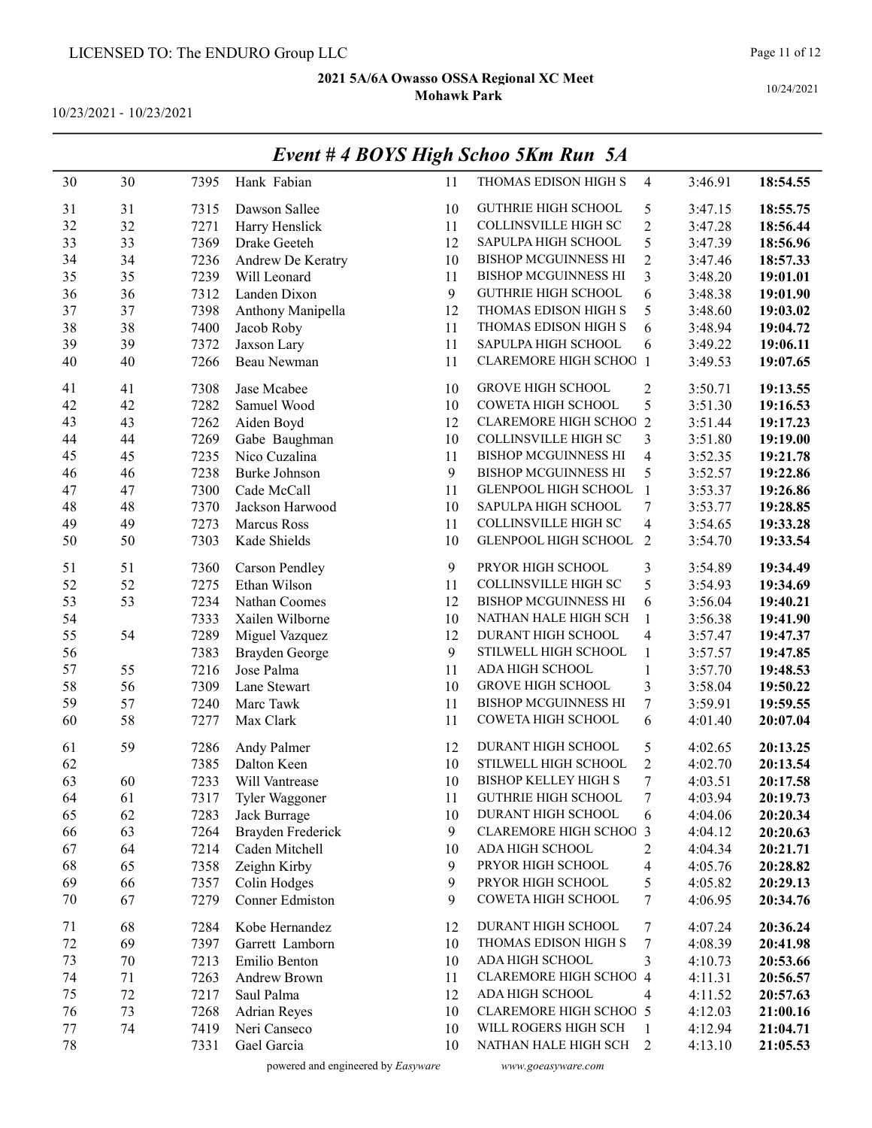10/23/2021 - 10/23/2021

|        |    |      |                       |    | $L$ <i>vent</i> $#$ DOTS High Schoo $3$ Km Kun $3A$ |                  |         |          |
|--------|----|------|-----------------------|----|-----------------------------------------------------|------------------|---------|----------|
| 30     | 30 | 7395 | Hank Fabian           | 11 | THOMAS EDISON HIGH S                                | $\overline{4}$   | 3:46.91 | 18:54.55 |
| 31     | 31 | 7315 | Dawson Sallee         | 10 | <b>GUTHRIE HIGH SCHOOL</b>                          | 5                | 3:47.15 | 18:55.75 |
| 32     | 32 | 7271 | Harry Henslick        | 11 | COLLINSVILLE HIGH SC                                | $\overline{c}$   | 3:47.28 | 18:56.44 |
| 33     | 33 | 7369 | Drake Geeteh          | 12 | SAPULPA HIGH SCHOOL                                 | 5                | 3:47.39 | 18:56.96 |
| 34     | 34 | 7236 | Andrew De Keratry     | 10 | <b>BISHOP MCGUINNESS HI</b>                         | $\boldsymbol{2}$ | 3:47.46 | 18:57.33 |
| 35     | 35 | 7239 | Will Leonard          | 11 | <b>BISHOP MCGUINNESS HI</b>                         | 3                | 3:48.20 | 19:01.01 |
| 36     | 36 | 7312 | Landen Dixon          | 9  | <b>GUTHRIE HIGH SCHOOL</b>                          | 6                | 3:48.38 | 19:01.90 |
| 37     | 37 | 7398 | Anthony Manipella     | 12 | THOMAS EDISON HIGH S                                | 5                | 3:48.60 | 19:03.02 |
| 38     | 38 | 7400 | Jacob Roby            | 11 | THOMAS EDISON HIGH S                                | 6                | 3:48.94 | 19:04.72 |
| 39     | 39 | 7372 | Jaxson Lary           | 11 | SAPULPA HIGH SCHOOL                                 | 6                | 3:49.22 | 19:06.11 |
| 40     | 40 | 7266 | Beau Newman           | 11 | <b>CLAREMORE HIGH SCHOO 1</b>                       |                  | 3:49.53 | 19:07.65 |
| 41     | 41 | 7308 | Jase Mcabee           | 10 | <b>GROVE HIGH SCHOOL</b>                            | $\overline{2}$   | 3:50.71 | 19:13.55 |
| 42     | 42 | 7282 | Samuel Wood           | 10 | COWETA HIGH SCHOOL                                  | 5                | 3:51.30 | 19:16.53 |
| 43     | 43 | 7262 | Aiden Boyd            | 12 | <b>CLAREMORE HIGH SCHOO 2</b>                       |                  | 3:51.44 | 19:17.23 |
| 44     | 44 | 7269 | Gabe Baughman         | 10 | <b>COLLINSVILLE HIGH SC</b>                         | 3                | 3:51.80 | 19:19.00 |
| 45     | 45 | 7235 | Nico Cuzalina         | 11 | <b>BISHOP MCGUINNESS HI</b>                         | $\overline{4}$   | 3:52.35 | 19:21.78 |
| 46     | 46 | 7238 | <b>Burke Johnson</b>  | 9  | <b>BISHOP MCGUINNESS HI</b>                         | 5                | 3:52.57 | 19:22.86 |
| 47     | 47 | 7300 | Cade McCall           | 11 | GLENPOOL HIGH SCHOOL                                | $\mathbf{1}$     | 3:53.37 | 19:26.86 |
| 48     | 48 | 7370 | Jackson Harwood       | 10 | SAPULPA HIGH SCHOOL                                 | 7                | 3:53.77 | 19:28.85 |
| 49     | 49 | 7273 | Marcus Ross           | 11 | <b>COLLINSVILLE HIGH SC</b>                         | $\overline{4}$   | 3:54.65 | 19:33.28 |
| 50     | 50 | 7303 | Kade Shields          | 10 | GLENPOOL HIGH SCHOOL                                | $\overline{2}$   | 3:54.70 | 19:33.54 |
| 51     | 51 | 7360 | <b>Carson Pendley</b> | 9  | PRYOR HIGH SCHOOL                                   | 3                | 3:54.89 | 19:34.49 |
| 52     | 52 | 7275 | Ethan Wilson          | 11 | COLLINSVILLE HIGH SC                                | 5                | 3:54.93 | 19:34.69 |
| 53     | 53 | 7234 | Nathan Coomes         | 12 | <b>BISHOP MCGUINNESS HI</b>                         | 6                | 3:56.04 | 19:40.21 |
| 54     |    | 7333 | Xailen Wilborne       | 10 | NATHAN HALE HIGH SCH                                | 1                | 3:56.38 | 19:41.90 |
| 55     | 54 | 7289 | Miguel Vazquez        | 12 | DURANT HIGH SCHOOL                                  | $\overline{4}$   | 3:57.47 | 19:47.37 |
| 56     |    | 7383 | Brayden George        | 9  | STILWELL HIGH SCHOOL                                | 1                | 3:57.57 | 19:47.85 |
| 57     | 55 | 7216 | Jose Palma            | 11 | ADA HIGH SCHOOL                                     | 1                | 3:57.70 | 19:48.53 |
| 58     | 56 | 7309 | Lane Stewart          | 10 | <b>GROVE HIGH SCHOOL</b>                            | $\mathfrak{Z}$   | 3:58.04 | 19:50.22 |
| 59     | 57 | 7240 | Marc Tawk             | 11 | <b>BISHOP MCGUINNESS HI</b>                         | 7                | 3:59.91 | 19:59.55 |
| 60     | 58 | 7277 | Max Clark             | 11 | COWETA HIGH SCHOOL                                  | 6                | 4:01.40 | 20:07.04 |
| 61     | 59 | 7286 | Andy Palmer           | 12 | DURANT HIGH SCHOOL                                  | 5                | 4:02.65 | 20:13.25 |
| 62     |    | 7385 | Dalton Keen           | 10 | STILWELL HIGH SCHOOL                                | $\overline{2}$   | 4:02.70 | 20:13.54 |
| 63     | 60 | 7233 | Will Vantrease        | 10 | <b>BISHOP KELLEY HIGH S</b>                         | 7                | 4:03.51 | 20:17.58 |
| 64     | 61 | 7317 | Tyler Waggoner        | 11 | <b>GUTHRIE HIGH SCHOOL</b>                          | $\boldsymbol{7}$ | 4:03.94 | 20:19.73 |
| 65     | 62 | 7283 | Jack Burrage          | 10 | DURANT HIGH SCHOOL                                  | 6                | 4:04.06 | 20:20.34 |
| 66     | 63 | 7264 | Brayden Frederick     | 9  | <b>CLAREMORE HIGH SCHOO 3</b>                       |                  | 4:04.12 | 20:20.63 |
| 67     | 64 | 7214 | Caden Mitchell        | 10 | ADA HIGH SCHOOL                                     | $\overline{c}$   | 4:04.34 | 20:21.71 |
| 68     | 65 | 7358 | Zeighn Kirby          | 9  | PRYOR HIGH SCHOOL                                   | $\overline{4}$   | 4:05.76 | 20:28.82 |
| 69     | 66 | 7357 | Colin Hodges          | 9  | PRYOR HIGH SCHOOL                                   | 5                | 4:05.82 | 20:29.13 |
| $70\,$ | 67 | 7279 | Conner Edmiston       | 9  | COWETA HIGH SCHOOL                                  | 7                | 4:06.95 | 20:34.76 |
| 71     | 68 | 7284 | Kobe Hernandez        | 12 | DURANT HIGH SCHOOL                                  | 7                | 4:07.24 | 20:36.24 |
| 72     | 69 | 7397 | Garrett Lamborn       | 10 | THOMAS EDISON HIGH S                                | $\tau$           | 4:08.39 | 20:41.98 |
| 73     | 70 | 7213 | Emilio Benton         | 10 | ADA HIGH SCHOOL                                     | 3                | 4:10.73 | 20:53.66 |
| 74     | 71 | 7263 | Andrew Brown          | 11 | <b>CLAREMORE HIGH SCHOO 4</b>                       |                  | 4:11.31 | 20:56.57 |
| 75     | 72 | 7217 | Saul Palma            | 12 | ADA HIGH SCHOOL                                     | $\overline{4}$   | 4:11.52 | 20:57.63 |
| 76     | 73 | 7268 | <b>Adrian Reyes</b>   | 10 | <b>CLAREMORE HIGH SCHOO 5</b>                       |                  | 4:12.03 | 21:00.16 |
| 77     | 74 | 7419 | Neri Canseco          | 10 | WILL ROGERS HIGH SCH                                | 1                | 4:12.94 | 21:04.71 |
| 78     |    | 7331 | Gael Garcia           | 10 | NATHAN HALE HIGH SCH                                | $\overline{2}$   | 4:13.10 | 21:05.53 |

## Event # 4 BOYS High Schoo 5Km Run 5A

10/24/2021

powered and engineered by Easyware www.goeasyware.com